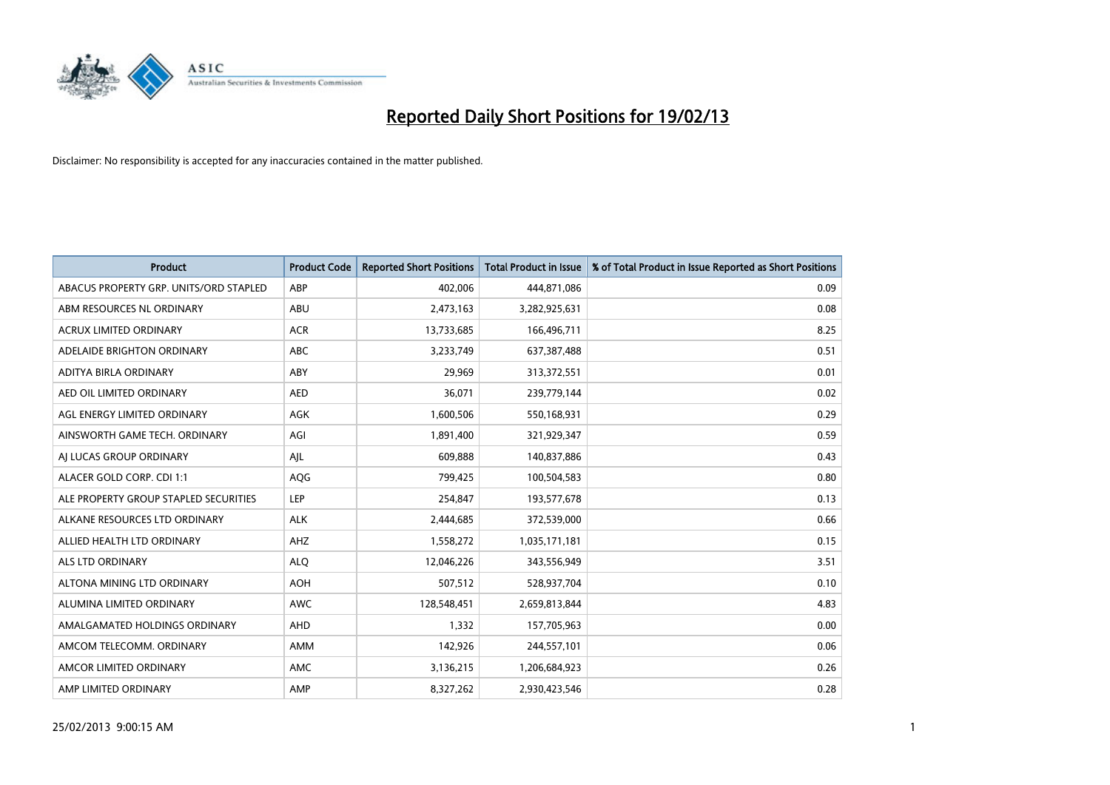

| <b>Product</b>                         | <b>Product Code</b> | <b>Reported Short Positions</b> | <b>Total Product in Issue</b> | % of Total Product in Issue Reported as Short Positions |
|----------------------------------------|---------------------|---------------------------------|-------------------------------|---------------------------------------------------------|
| ABACUS PROPERTY GRP. UNITS/ORD STAPLED | ABP                 | 402,006                         | 444,871,086                   | 0.09                                                    |
| ABM RESOURCES NL ORDINARY              | ABU                 | 2,473,163                       | 3,282,925,631                 | 0.08                                                    |
| <b>ACRUX LIMITED ORDINARY</b>          | <b>ACR</b>          | 13,733,685                      | 166,496,711                   | 8.25                                                    |
| ADELAIDE BRIGHTON ORDINARY             | ABC                 | 3,233,749                       | 637,387,488                   | 0.51                                                    |
| <b>ADITYA BIRLA ORDINARY</b>           | ABY                 | 29.969                          | 313,372,551                   | 0.01                                                    |
| AED OIL LIMITED ORDINARY               | <b>AED</b>          | 36,071                          | 239,779,144                   | 0.02                                                    |
| AGL ENERGY LIMITED ORDINARY            | <b>AGK</b>          | 1,600,506                       | 550,168,931                   | 0.29                                                    |
| AINSWORTH GAME TECH. ORDINARY          | AGI                 | 1,891,400                       | 321,929,347                   | 0.59                                                    |
| AI LUCAS GROUP ORDINARY                | AIL                 | 609,888                         | 140,837,886                   | 0.43                                                    |
| ALACER GOLD CORP. CDI 1:1              | AQG                 | 799,425                         | 100,504,583                   | 0.80                                                    |
| ALE PROPERTY GROUP STAPLED SECURITIES  | LEP                 | 254,847                         | 193,577,678                   | 0.13                                                    |
| ALKANE RESOURCES LTD ORDINARY          | <b>ALK</b>          | 2,444,685                       | 372,539,000                   | 0.66                                                    |
| ALLIED HEALTH LTD ORDINARY             | AHZ                 | 1,558,272                       | 1,035,171,181                 | 0.15                                                    |
| <b>ALS LTD ORDINARY</b>                | <b>ALO</b>          | 12,046,226                      | 343,556,949                   | 3.51                                                    |
| ALTONA MINING LTD ORDINARY             | <b>AOH</b>          | 507,512                         | 528,937,704                   | 0.10                                                    |
| ALUMINA LIMITED ORDINARY               | <b>AWC</b>          | 128,548,451                     | 2,659,813,844                 | 4.83                                                    |
| AMALGAMATED HOLDINGS ORDINARY          | AHD                 | 1,332                           | 157,705,963                   | 0.00                                                    |
| AMCOM TELECOMM. ORDINARY               | <b>AMM</b>          | 142,926                         | 244,557,101                   | 0.06                                                    |
| AMCOR LIMITED ORDINARY                 | <b>AMC</b>          | 3,136,215                       | 1,206,684,923                 | 0.26                                                    |
| AMP LIMITED ORDINARY                   | AMP                 | 8,327,262                       | 2,930,423,546                 | 0.28                                                    |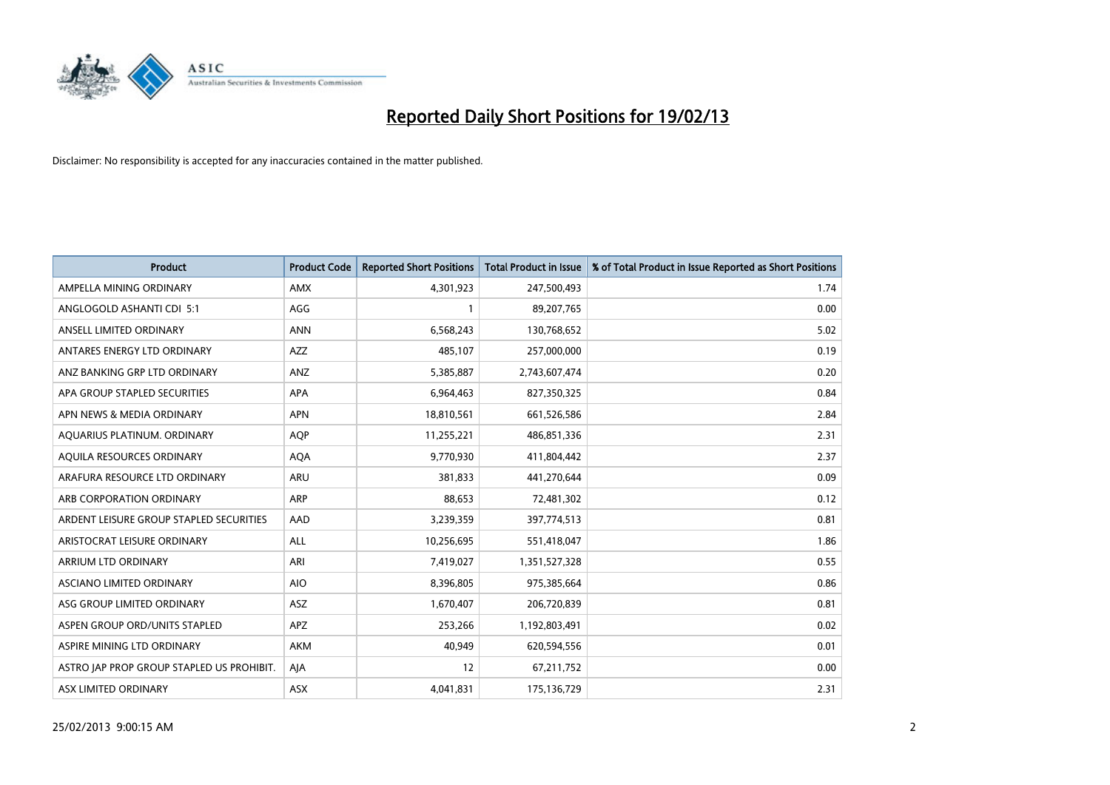

| <b>Product</b>                            | <b>Product Code</b> | <b>Reported Short Positions</b> | <b>Total Product in Issue</b> | % of Total Product in Issue Reported as Short Positions |
|-------------------------------------------|---------------------|---------------------------------|-------------------------------|---------------------------------------------------------|
| AMPELLA MINING ORDINARY                   | <b>AMX</b>          | 4,301,923                       | 247,500,493                   | 1.74                                                    |
| ANGLOGOLD ASHANTI CDI 5:1                 | AGG                 |                                 | 89,207,765                    | 0.00                                                    |
| ANSELL LIMITED ORDINARY                   | <b>ANN</b>          | 6,568,243                       | 130,768,652                   | 5.02                                                    |
| ANTARES ENERGY LTD ORDINARY               | <b>AZZ</b>          | 485,107                         | 257,000,000                   | 0.19                                                    |
| ANZ BANKING GRP LTD ORDINARY              | ANZ                 | 5,385,887                       | 2,743,607,474                 | 0.20                                                    |
| APA GROUP STAPLED SECURITIES              | <b>APA</b>          | 6,964,463                       | 827,350,325                   | 0.84                                                    |
| APN NEWS & MEDIA ORDINARY                 | <b>APN</b>          | 18,810,561                      | 661,526,586                   | 2.84                                                    |
| AQUARIUS PLATINUM. ORDINARY               | <b>AOP</b>          | 11,255,221                      | 486,851,336                   | 2.31                                                    |
| AQUILA RESOURCES ORDINARY                 | <b>AQA</b>          | 9,770,930                       | 411,804,442                   | 2.37                                                    |
| ARAFURA RESOURCE LTD ORDINARY             | <b>ARU</b>          | 381,833                         | 441,270,644                   | 0.09                                                    |
| ARB CORPORATION ORDINARY                  | <b>ARP</b>          | 88,653                          | 72,481,302                    | 0.12                                                    |
| ARDENT LEISURE GROUP STAPLED SECURITIES   | AAD                 | 3,239,359                       | 397,774,513                   | 0.81                                                    |
| ARISTOCRAT LEISURE ORDINARY               | <b>ALL</b>          | 10,256,695                      | 551,418,047                   | 1.86                                                    |
| ARRIUM LTD ORDINARY                       | ARI                 | 7,419,027                       | 1,351,527,328                 | 0.55                                                    |
| ASCIANO LIMITED ORDINARY                  | <b>AIO</b>          | 8,396,805                       | 975,385,664                   | 0.86                                                    |
| ASG GROUP LIMITED ORDINARY                | ASZ                 | 1,670,407                       | 206,720,839                   | 0.81                                                    |
| ASPEN GROUP ORD/UNITS STAPLED             | <b>APZ</b>          | 253,266                         | 1,192,803,491                 | 0.02                                                    |
| ASPIRE MINING LTD ORDINARY                | <b>AKM</b>          | 40,949                          | 620,594,556                   | 0.01                                                    |
| ASTRO JAP PROP GROUP STAPLED US PROHIBIT. | AJA                 | 12                              | 67,211,752                    | 0.00                                                    |
| ASX LIMITED ORDINARY                      | ASX                 | 4,041,831                       | 175,136,729                   | 2.31                                                    |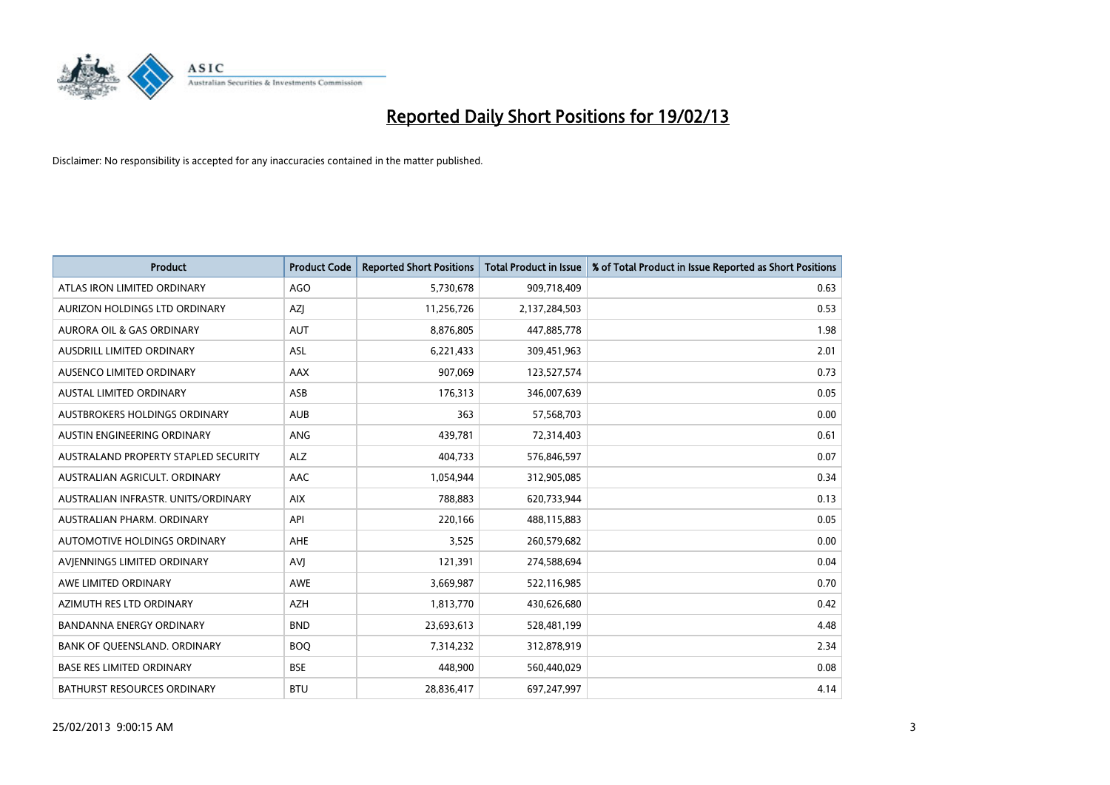

| <b>Product</b>                       | <b>Product Code</b> | <b>Reported Short Positions</b> | <b>Total Product in Issue</b> | % of Total Product in Issue Reported as Short Positions |
|--------------------------------------|---------------------|---------------------------------|-------------------------------|---------------------------------------------------------|
| ATLAS IRON LIMITED ORDINARY          | AGO                 | 5,730,678                       | 909,718,409                   | 0.63                                                    |
| AURIZON HOLDINGS LTD ORDINARY        | AZI                 | 11,256,726                      | 2,137,284,503                 | 0.53                                                    |
| <b>AURORA OIL &amp; GAS ORDINARY</b> | <b>AUT</b>          | 8,876,805                       | 447,885,778                   | 1.98                                                    |
| AUSDRILL LIMITED ORDINARY            | ASL                 | 6,221,433                       | 309,451,963                   | 2.01                                                    |
| AUSENCO LIMITED ORDINARY             | AAX                 | 907,069                         | 123,527,574                   | 0.73                                                    |
| <b>AUSTAL LIMITED ORDINARY</b>       | ASB                 | 176,313                         | 346,007,639                   | 0.05                                                    |
| AUSTBROKERS HOLDINGS ORDINARY        | <b>AUB</b>          | 363                             | 57,568,703                    | 0.00                                                    |
| AUSTIN ENGINEERING ORDINARY          | ANG                 | 439,781                         | 72,314,403                    | 0.61                                                    |
| AUSTRALAND PROPERTY STAPLED SECURITY | <b>ALZ</b>          | 404,733                         | 576,846,597                   | 0.07                                                    |
| AUSTRALIAN AGRICULT, ORDINARY        | AAC                 | 1,054,944                       | 312,905,085                   | 0.34                                                    |
| AUSTRALIAN INFRASTR. UNITS/ORDINARY  | <b>AIX</b>          | 788,883                         | 620,733,944                   | 0.13                                                    |
| <b>AUSTRALIAN PHARM, ORDINARY</b>    | API                 | 220,166                         | 488,115,883                   | 0.05                                                    |
| AUTOMOTIVE HOLDINGS ORDINARY         | AHE                 | 3,525                           | 260,579,682                   | 0.00                                                    |
| AVIENNINGS LIMITED ORDINARY          | AVI                 | 121,391                         | 274,588,694                   | 0.04                                                    |
| AWE LIMITED ORDINARY                 | <b>AWE</b>          | 3,669,987                       | 522,116,985                   | 0.70                                                    |
| AZIMUTH RES LTD ORDINARY             | <b>AZH</b>          | 1,813,770                       | 430,626,680                   | 0.42                                                    |
| BANDANNA ENERGY ORDINARY             | <b>BND</b>          | 23,693,613                      | 528,481,199                   | 4.48                                                    |
| BANK OF QUEENSLAND. ORDINARY         | <b>BOO</b>          | 7,314,232                       | 312,878,919                   | 2.34                                                    |
| <b>BASE RES LIMITED ORDINARY</b>     | <b>BSE</b>          | 448,900                         | 560,440,029                   | 0.08                                                    |
| <b>BATHURST RESOURCES ORDINARY</b>   | <b>BTU</b>          | 28,836,417                      | 697,247,997                   | 4.14                                                    |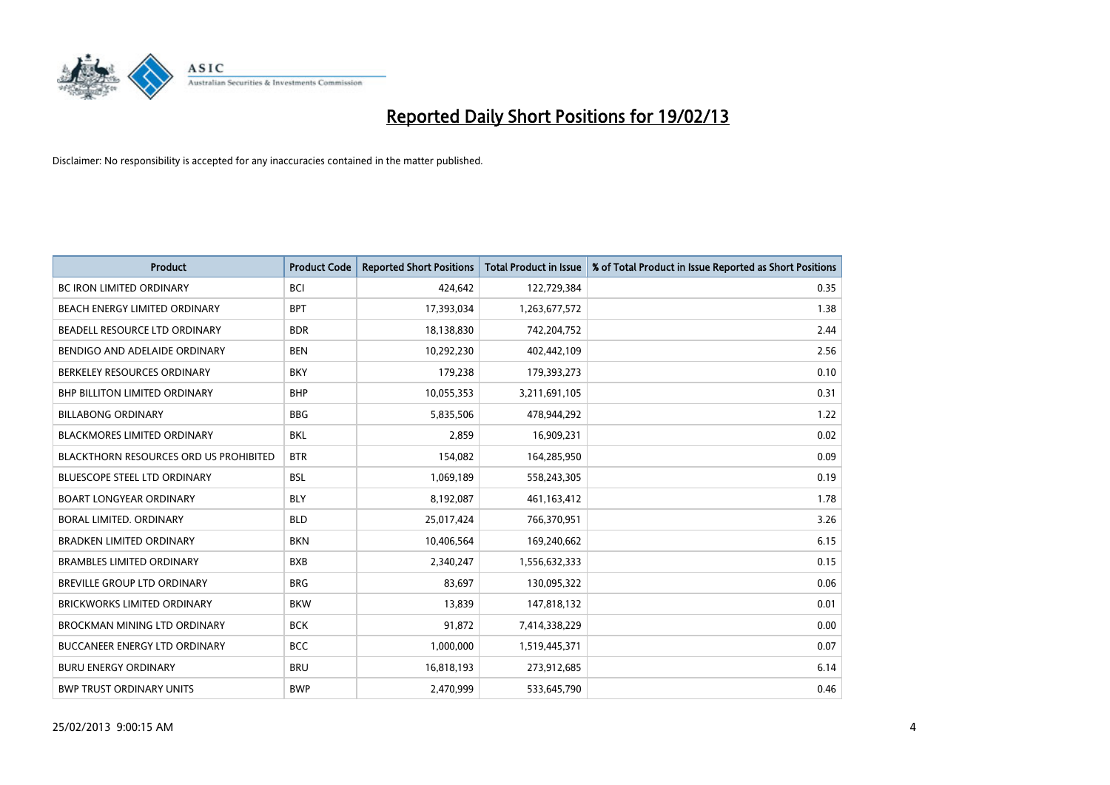

| <b>Product</b>                                | <b>Product Code</b> | <b>Reported Short Positions</b> | Total Product in Issue | % of Total Product in Issue Reported as Short Positions |
|-----------------------------------------------|---------------------|---------------------------------|------------------------|---------------------------------------------------------|
| <b>BC IRON LIMITED ORDINARY</b>               | <b>BCI</b>          | 424.642                         | 122,729,384            | 0.35                                                    |
| BEACH ENERGY LIMITED ORDINARY                 | <b>BPT</b>          | 17,393,034                      | 1,263,677,572          | 1.38                                                    |
| BEADELL RESOURCE LTD ORDINARY                 | <b>BDR</b>          | 18,138,830                      | 742,204,752            | 2.44                                                    |
| BENDIGO AND ADELAIDE ORDINARY                 | <b>BEN</b>          | 10,292,230                      | 402,442,109            | 2.56                                                    |
| BERKELEY RESOURCES ORDINARY                   | <b>BKY</b>          | 179,238                         | 179,393,273            | 0.10                                                    |
| BHP BILLITON LIMITED ORDINARY                 | <b>BHP</b>          | 10,055,353                      | 3,211,691,105          | 0.31                                                    |
| <b>BILLABONG ORDINARY</b>                     | <b>BBG</b>          | 5,835,506                       | 478,944,292            | 1.22                                                    |
| <b>BLACKMORES LIMITED ORDINARY</b>            | <b>BKL</b>          | 2,859                           | 16,909,231             | 0.02                                                    |
| <b>BLACKTHORN RESOURCES ORD US PROHIBITED</b> | <b>BTR</b>          | 154,082                         | 164,285,950            | 0.09                                                    |
| <b>BLUESCOPE STEEL LTD ORDINARY</b>           | <b>BSL</b>          | 1,069,189                       | 558,243,305            | 0.19                                                    |
| <b>BOART LONGYEAR ORDINARY</b>                | <b>BLY</b>          | 8,192,087                       | 461,163,412            | 1.78                                                    |
| BORAL LIMITED, ORDINARY                       | <b>BLD</b>          | 25,017,424                      | 766,370,951            | 3.26                                                    |
| <b>BRADKEN LIMITED ORDINARY</b>               | <b>BKN</b>          | 10,406,564                      | 169,240,662            | 6.15                                                    |
| <b>BRAMBLES LIMITED ORDINARY</b>              | <b>BXB</b>          | 2,340,247                       | 1,556,632,333          | 0.15                                                    |
| <b>BREVILLE GROUP LTD ORDINARY</b>            | <b>BRG</b>          | 83.697                          | 130,095,322            | 0.06                                                    |
| <b>BRICKWORKS LIMITED ORDINARY</b>            | <b>BKW</b>          | 13,839                          | 147,818,132            | 0.01                                                    |
| BROCKMAN MINING LTD ORDINARY                  | <b>BCK</b>          | 91,872                          | 7,414,338,229          | 0.00                                                    |
| <b>BUCCANEER ENERGY LTD ORDINARY</b>          | <b>BCC</b>          | 1,000,000                       | 1,519,445,371          | 0.07                                                    |
| <b>BURU ENERGY ORDINARY</b>                   | <b>BRU</b>          | 16,818,193                      | 273,912,685            | 6.14                                                    |
| <b>BWP TRUST ORDINARY UNITS</b>               | <b>BWP</b>          | 2.470.999                       | 533,645,790            | 0.46                                                    |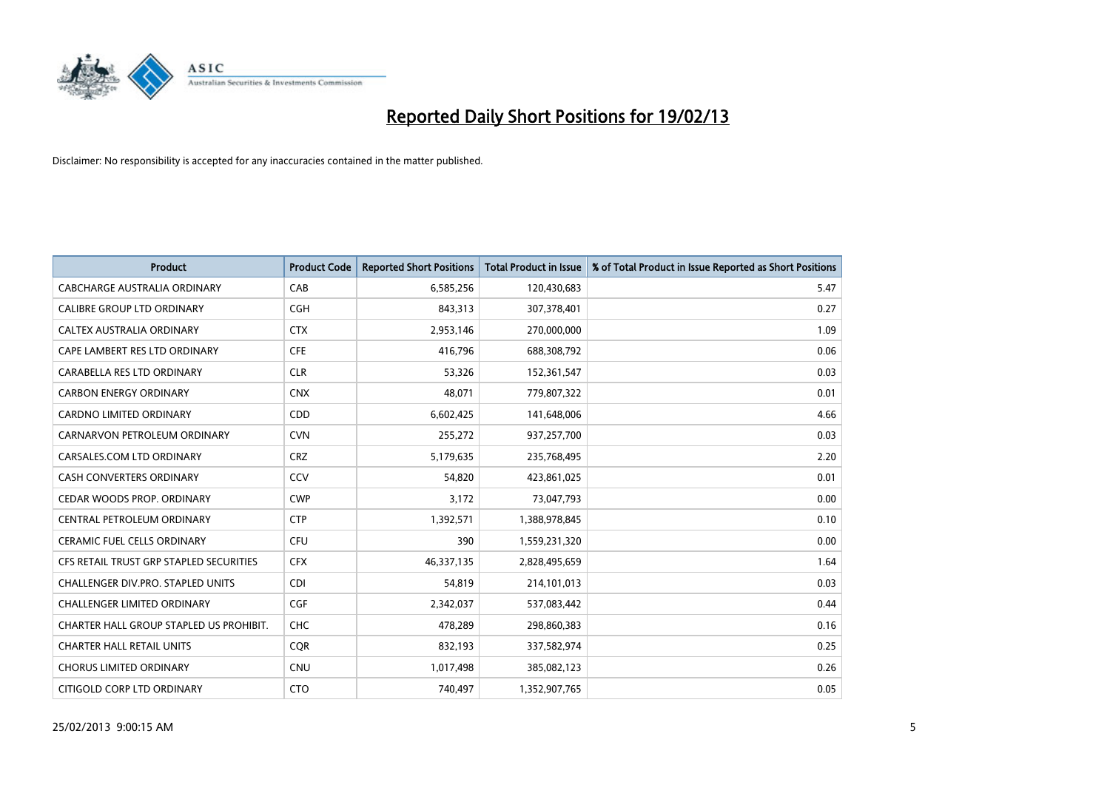

| <b>Product</b>                          | <b>Product Code</b> | <b>Reported Short Positions</b> | <b>Total Product in Issue</b> | % of Total Product in Issue Reported as Short Positions |
|-----------------------------------------|---------------------|---------------------------------|-------------------------------|---------------------------------------------------------|
| CABCHARGE AUSTRALIA ORDINARY            | CAB                 | 6,585,256                       | 120,430,683                   | 5.47                                                    |
| CALIBRE GROUP LTD ORDINARY              | <b>CGH</b>          | 843,313                         | 307,378,401                   | 0.27                                                    |
| <b>CALTEX AUSTRALIA ORDINARY</b>        | <b>CTX</b>          | 2,953,146                       | 270,000,000                   | 1.09                                                    |
| CAPE LAMBERT RES LTD ORDINARY           | <b>CFE</b>          | 416,796                         | 688,308,792                   | 0.06                                                    |
| CARABELLA RES LTD ORDINARY              | <b>CLR</b>          | 53,326                          | 152,361,547                   | 0.03                                                    |
| <b>CARBON ENERGY ORDINARY</b>           | <b>CNX</b>          | 48,071                          | 779,807,322                   | 0.01                                                    |
| <b>CARDNO LIMITED ORDINARY</b>          | <b>CDD</b>          | 6,602,425                       | 141,648,006                   | 4.66                                                    |
| CARNARVON PETROLEUM ORDINARY            | <b>CVN</b>          | 255,272                         | 937,257,700                   | 0.03                                                    |
| CARSALES.COM LTD ORDINARY               | <b>CRZ</b>          | 5,179,635                       | 235,768,495                   | 2.20                                                    |
| <b>CASH CONVERTERS ORDINARY</b>         | CCV                 | 54,820                          | 423,861,025                   | 0.01                                                    |
| CEDAR WOODS PROP. ORDINARY              | <b>CWP</b>          | 3,172                           | 73,047,793                    | 0.00                                                    |
| CENTRAL PETROLEUM ORDINARY              | <b>CTP</b>          | 1,392,571                       | 1,388,978,845                 | 0.10                                                    |
| CERAMIC FUEL CELLS ORDINARY             | CFU                 | 390                             | 1,559,231,320                 | 0.00                                                    |
| CFS RETAIL TRUST GRP STAPLED SECURITIES | <b>CFX</b>          | 46,337,135                      | 2,828,495,659                 | 1.64                                                    |
| CHALLENGER DIV.PRO. STAPLED UNITS       | <b>CDI</b>          | 54,819                          | 214,101,013                   | 0.03                                                    |
| CHALLENGER LIMITED ORDINARY             | <b>CGF</b>          | 2,342,037                       | 537,083,442                   | 0.44                                                    |
| CHARTER HALL GROUP STAPLED US PROHIBIT. | <b>CHC</b>          | 478,289                         | 298,860,383                   | 0.16                                                    |
| <b>CHARTER HALL RETAIL UNITS</b>        | <b>CQR</b>          | 832,193                         | 337,582,974                   | 0.25                                                    |
| <b>CHORUS LIMITED ORDINARY</b>          | <b>CNU</b>          | 1,017,498                       | 385,082,123                   | 0.26                                                    |
| CITIGOLD CORP LTD ORDINARY              | <b>CTO</b>          | 740,497                         | 1,352,907,765                 | 0.05                                                    |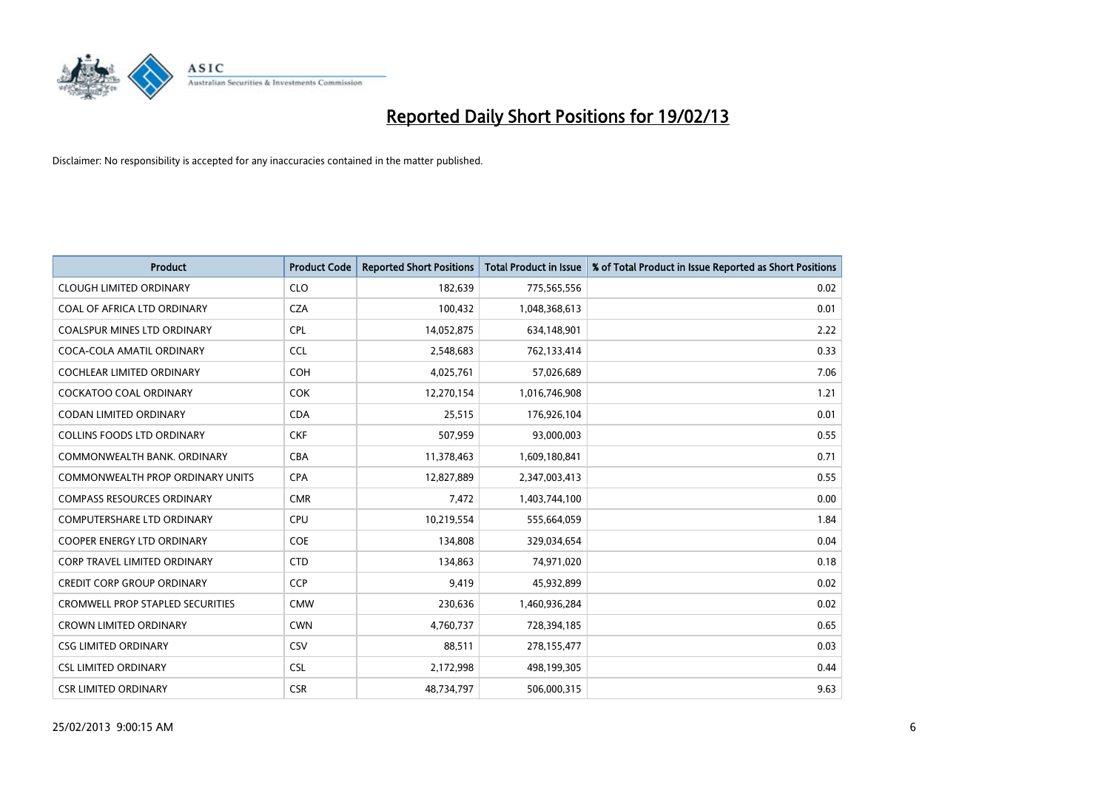

| <b>Product</b>                          | <b>Product Code</b> | <b>Reported Short Positions</b> | <b>Total Product in Issue</b> | % of Total Product in Issue Reported as Short Positions |
|-----------------------------------------|---------------------|---------------------------------|-------------------------------|---------------------------------------------------------|
| <b>CLOUGH LIMITED ORDINARY</b>          | <b>CLO</b>          | 182,639                         | 775,565,556                   | 0.02                                                    |
| COAL OF AFRICA LTD ORDINARY             | <b>CZA</b>          | 100,432                         | 1,048,368,613                 | 0.01                                                    |
| <b>COALSPUR MINES LTD ORDINARY</b>      | <b>CPL</b>          | 14,052,875                      | 634,148,901                   | 2.22                                                    |
| COCA-COLA AMATIL ORDINARY               | <b>CCL</b>          | 2,548,683                       | 762,133,414                   | 0.33                                                    |
| <b>COCHLEAR LIMITED ORDINARY</b>        | <b>COH</b>          | 4,025,761                       | 57,026,689                    | 7.06                                                    |
| <b>COCKATOO COAL ORDINARY</b>           | <b>COK</b>          | 12,270,154                      | 1,016,746,908                 | 1.21                                                    |
| CODAN LIMITED ORDINARY                  | <b>CDA</b>          | 25,515                          | 176,926,104                   | 0.01                                                    |
| <b>COLLINS FOODS LTD ORDINARY</b>       | <b>CKF</b>          | 507,959                         | 93,000,003                    | 0.55                                                    |
| COMMONWEALTH BANK, ORDINARY             | <b>CBA</b>          | 11,378,463                      | 1,609,180,841                 | 0.71                                                    |
| <b>COMMONWEALTH PROP ORDINARY UNITS</b> | <b>CPA</b>          | 12,827,889                      | 2,347,003,413                 | 0.55                                                    |
| <b>COMPASS RESOURCES ORDINARY</b>       | <b>CMR</b>          | 7,472                           | 1,403,744,100                 | 0.00                                                    |
| COMPUTERSHARE LTD ORDINARY              | <b>CPU</b>          | 10,219,554                      | 555,664,059                   | 1.84                                                    |
| <b>COOPER ENERGY LTD ORDINARY</b>       | <b>COE</b>          | 134,808                         | 329,034,654                   | 0.04                                                    |
| <b>CORP TRAVEL LIMITED ORDINARY</b>     | <b>CTD</b>          | 134,863                         | 74,971,020                    | 0.18                                                    |
| <b>CREDIT CORP GROUP ORDINARY</b>       | <b>CCP</b>          | 9,419                           | 45,932,899                    | 0.02                                                    |
| <b>CROMWELL PROP STAPLED SECURITIES</b> | <b>CMW</b>          | 230,636                         | 1,460,936,284                 | 0.02                                                    |
| <b>CROWN LIMITED ORDINARY</b>           | <b>CWN</b>          | 4,760,737                       | 728,394,185                   | 0.65                                                    |
| <b>CSG LIMITED ORDINARY</b>             | CSV                 | 88,511                          | 278,155,477                   | 0.03                                                    |
| <b>CSL LIMITED ORDINARY</b>             | <b>CSL</b>          | 2,172,998                       | 498,199,305                   | 0.44                                                    |
| <b>CSR LIMITED ORDINARY</b>             | <b>CSR</b>          | 48,734,797                      | 506,000,315                   | 9.63                                                    |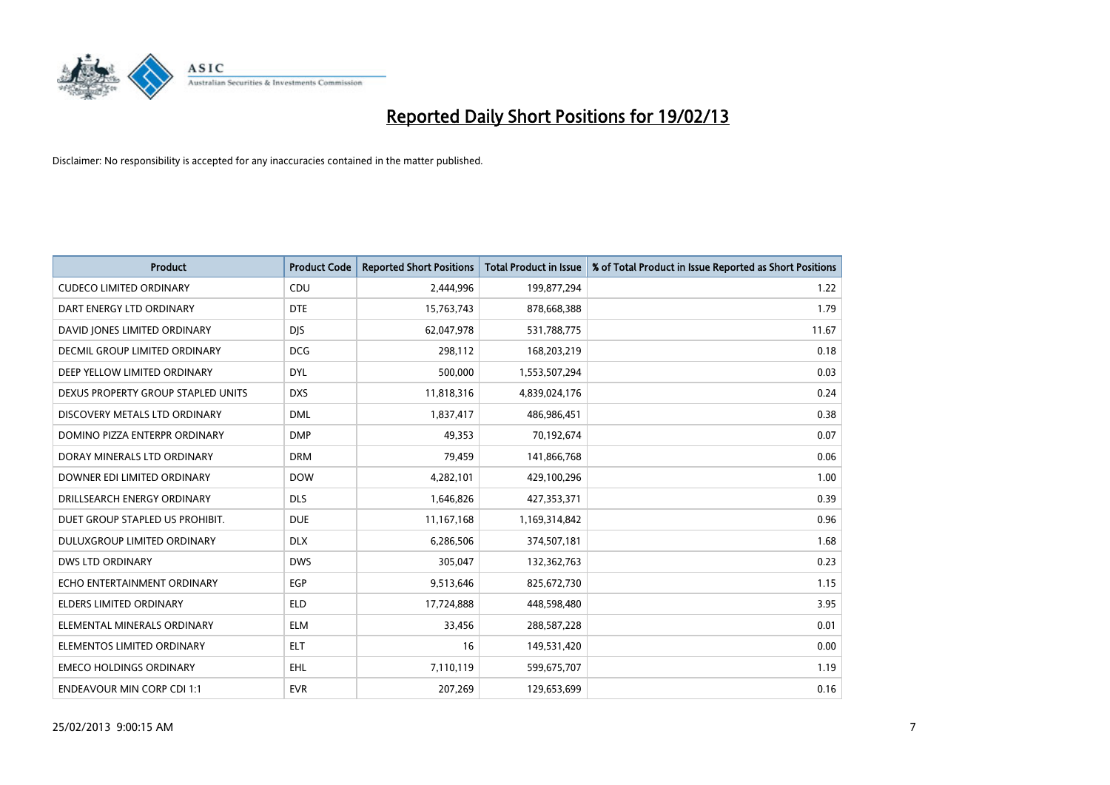

| <b>Product</b>                       | <b>Product Code</b> | <b>Reported Short Positions</b> | <b>Total Product in Issue</b> | % of Total Product in Issue Reported as Short Positions |
|--------------------------------------|---------------------|---------------------------------|-------------------------------|---------------------------------------------------------|
| <b>CUDECO LIMITED ORDINARY</b>       | CDU                 | 2,444,996                       | 199,877,294                   | 1.22                                                    |
| DART ENERGY LTD ORDINARY             | <b>DTE</b>          | 15,763,743                      | 878,668,388                   | 1.79                                                    |
| DAVID JONES LIMITED ORDINARY         | <b>DJS</b>          | 62,047,978                      | 531,788,775                   | 11.67                                                   |
| <b>DECMIL GROUP LIMITED ORDINARY</b> | <b>DCG</b>          | 298,112                         | 168,203,219                   | 0.18                                                    |
| DEEP YELLOW LIMITED ORDINARY         | <b>DYL</b>          | 500,000                         | 1,553,507,294                 | 0.03                                                    |
| DEXUS PROPERTY GROUP STAPLED UNITS   | <b>DXS</b>          | 11,818,316                      | 4,839,024,176                 | 0.24                                                    |
| DISCOVERY METALS LTD ORDINARY        | <b>DML</b>          | 1,837,417                       | 486,986,451                   | 0.38                                                    |
| DOMINO PIZZA ENTERPR ORDINARY        | <b>DMP</b>          | 49,353                          | 70,192,674                    | 0.07                                                    |
| DORAY MINERALS LTD ORDINARY          | <b>DRM</b>          | 79,459                          | 141,866,768                   | 0.06                                                    |
| DOWNER EDI LIMITED ORDINARY          | <b>DOW</b>          | 4,282,101                       | 429,100,296                   | 1.00                                                    |
| DRILLSEARCH ENERGY ORDINARY          | <b>DLS</b>          | 1,646,826                       | 427,353,371                   | 0.39                                                    |
| DUET GROUP STAPLED US PROHIBIT.      | <b>DUE</b>          | 11,167,168                      | 1,169,314,842                 | 0.96                                                    |
| DULUXGROUP LIMITED ORDINARY          | <b>DLX</b>          | 6,286,506                       | 374,507,181                   | 1.68                                                    |
| <b>DWS LTD ORDINARY</b>              | <b>DWS</b>          | 305,047                         | 132,362,763                   | 0.23                                                    |
| ECHO ENTERTAINMENT ORDINARY          | EGP                 | 9,513,646                       | 825,672,730                   | 1.15                                                    |
| ELDERS LIMITED ORDINARY              | <b>ELD</b>          | 17,724,888                      | 448,598,480                   | 3.95                                                    |
| ELEMENTAL MINERALS ORDINARY          | <b>ELM</b>          | 33,456                          | 288,587,228                   | 0.01                                                    |
| ELEMENTOS LIMITED ORDINARY           | <b>ELT</b>          | 16                              | 149,531,420                   | 0.00                                                    |
| <b>EMECO HOLDINGS ORDINARY</b>       | <b>EHL</b>          | 7,110,119                       | 599,675,707                   | 1.19                                                    |
| <b>ENDEAVOUR MIN CORP CDI 1:1</b>    | <b>EVR</b>          | 207,269                         | 129,653,699                   | 0.16                                                    |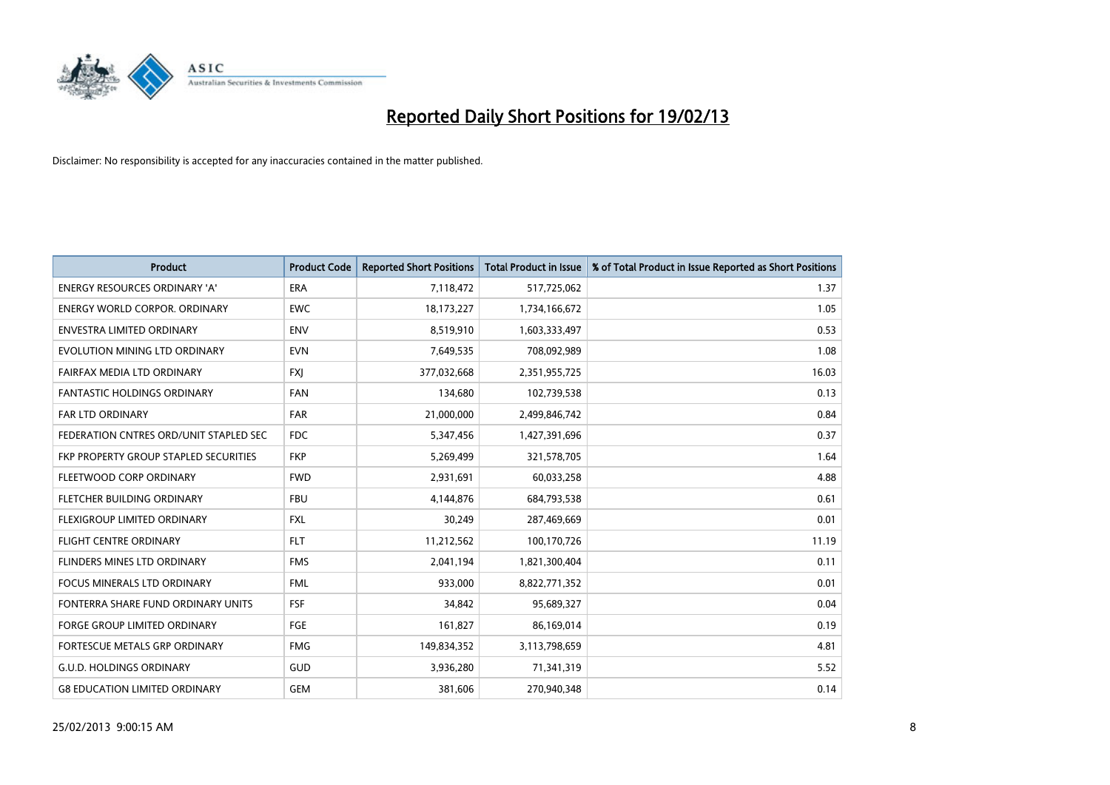

| <b>Product</b>                         | <b>Product Code</b> | <b>Reported Short Positions</b> | <b>Total Product in Issue</b> | % of Total Product in Issue Reported as Short Positions |
|----------------------------------------|---------------------|---------------------------------|-------------------------------|---------------------------------------------------------|
| <b>ENERGY RESOURCES ORDINARY 'A'</b>   | <b>ERA</b>          | 7,118,472                       | 517,725,062                   | 1.37                                                    |
| ENERGY WORLD CORPOR. ORDINARY          | <b>EWC</b>          | 18,173,227                      | 1,734,166,672                 | 1.05                                                    |
| <b>ENVESTRA LIMITED ORDINARY</b>       | <b>ENV</b>          | 8,519,910                       | 1,603,333,497                 | 0.53                                                    |
| EVOLUTION MINING LTD ORDINARY          | <b>EVN</b>          | 7,649,535                       | 708,092,989                   | 1.08                                                    |
| FAIRFAX MEDIA LTD ORDINARY             | <b>FXI</b>          | 377,032,668                     | 2,351,955,725                 | 16.03                                                   |
| <b>FANTASTIC HOLDINGS ORDINARY</b>     | <b>FAN</b>          | 134,680                         | 102,739,538                   | 0.13                                                    |
| <b>FAR LTD ORDINARY</b>                | <b>FAR</b>          | 21,000,000                      | 2,499,846,742                 | 0.84                                                    |
| FEDERATION CNTRES ORD/UNIT STAPLED SEC | <b>FDC</b>          | 5,347,456                       | 1,427,391,696                 | 0.37                                                    |
| FKP PROPERTY GROUP STAPLED SECURITIES  | <b>FKP</b>          | 5,269,499                       | 321,578,705                   | 1.64                                                    |
| FLEETWOOD CORP ORDINARY                | <b>FWD</b>          | 2,931,691                       | 60,033,258                    | 4.88                                                    |
| FLETCHER BUILDING ORDINARY             | <b>FBU</b>          | 4,144,876                       | 684,793,538                   | 0.61                                                    |
| <b>FLEXIGROUP LIMITED ORDINARY</b>     | <b>FXL</b>          | 30,249                          | 287,469,669                   | 0.01                                                    |
| <b>FLIGHT CENTRE ORDINARY</b>          | <b>FLT</b>          | 11,212,562                      | 100,170,726                   | 11.19                                                   |
| FLINDERS MINES LTD ORDINARY            | <b>FMS</b>          | 2,041,194                       | 1,821,300,404                 | 0.11                                                    |
| <b>FOCUS MINERALS LTD ORDINARY</b>     | <b>FML</b>          | 933.000                         | 8,822,771,352                 | 0.01                                                    |
| FONTERRA SHARE FUND ORDINARY UNITS     | <b>FSF</b>          | 34,842                          | 95,689,327                    | 0.04                                                    |
| <b>FORGE GROUP LIMITED ORDINARY</b>    | FGE                 | 161,827                         | 86,169,014                    | 0.19                                                    |
| <b>FORTESCUE METALS GRP ORDINARY</b>   | <b>FMG</b>          | 149,834,352                     | 3,113,798,659                 | 4.81                                                    |
| <b>G.U.D. HOLDINGS ORDINARY</b>        | <b>GUD</b>          | 3,936,280                       | 71,341,319                    | 5.52                                                    |
| <b>G8 EDUCATION LIMITED ORDINARY</b>   | <b>GEM</b>          | 381.606                         | 270,940,348                   | 0.14                                                    |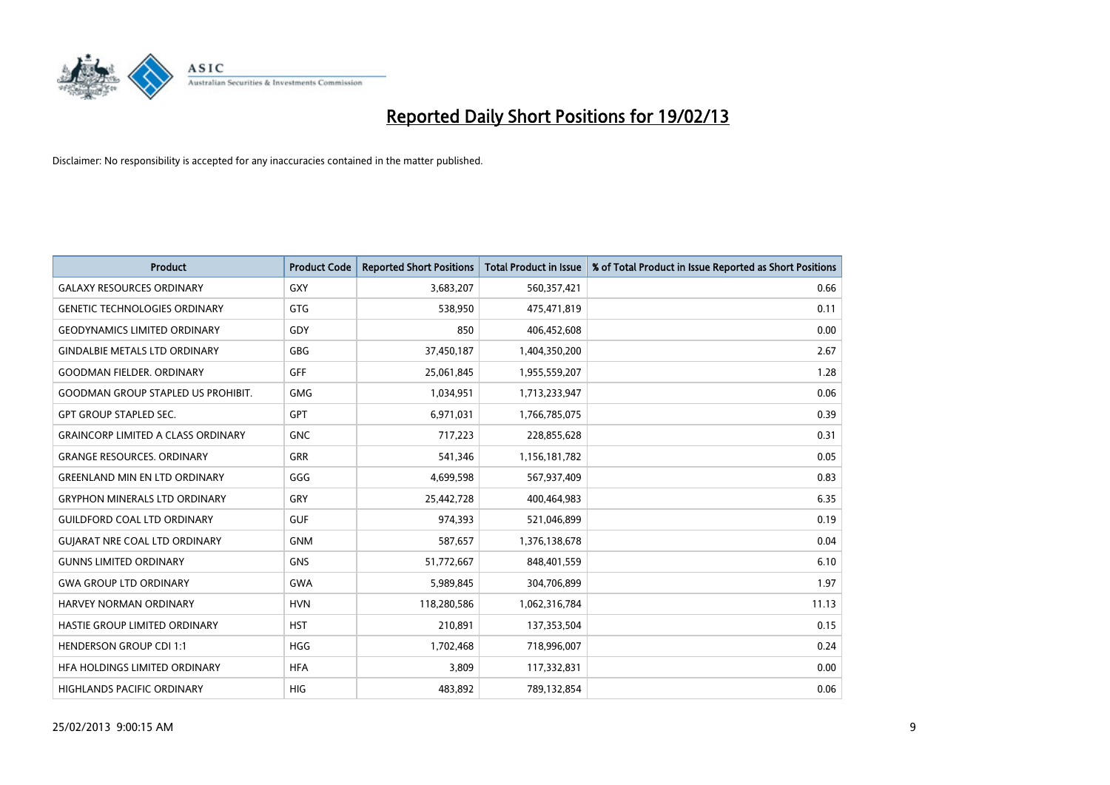

| <b>Product</b>                            | <b>Product Code</b> | <b>Reported Short Positions</b> | <b>Total Product in Issue</b> | % of Total Product in Issue Reported as Short Positions |
|-------------------------------------------|---------------------|---------------------------------|-------------------------------|---------------------------------------------------------|
| <b>GALAXY RESOURCES ORDINARY</b>          | <b>GXY</b>          | 3,683,207                       | 560,357,421                   | 0.66                                                    |
| <b>GENETIC TECHNOLOGIES ORDINARY</b>      | <b>GTG</b>          | 538,950                         | 475,471,819                   | 0.11                                                    |
| <b>GEODYNAMICS LIMITED ORDINARY</b>       | GDY                 | 850                             | 406,452,608                   | 0.00                                                    |
| <b>GINDALBIE METALS LTD ORDINARY</b>      | <b>GBG</b>          | 37,450,187                      | 1,404,350,200                 | 2.67                                                    |
| <b>GOODMAN FIELDER, ORDINARY</b>          | <b>GFF</b>          | 25,061,845                      | 1,955,559,207                 | 1.28                                                    |
| <b>GOODMAN GROUP STAPLED US PROHIBIT.</b> | <b>GMG</b>          | 1,034,951                       | 1,713,233,947                 | 0.06                                                    |
| <b>GPT GROUP STAPLED SEC.</b>             | <b>GPT</b>          | 6,971,031                       | 1,766,785,075                 | 0.39                                                    |
| <b>GRAINCORP LIMITED A CLASS ORDINARY</b> | <b>GNC</b>          | 717,223                         | 228,855,628                   | 0.31                                                    |
| <b>GRANGE RESOURCES, ORDINARY</b>         | <b>GRR</b>          | 541,346                         | 1,156,181,782                 | 0.05                                                    |
| <b>GREENLAND MIN EN LTD ORDINARY</b>      | GGG                 | 4,699,598                       | 567,937,409                   | 0.83                                                    |
| <b>GRYPHON MINERALS LTD ORDINARY</b>      | GRY                 | 25,442,728                      | 400,464,983                   | 6.35                                                    |
| <b>GUILDFORD COAL LTD ORDINARY</b>        | <b>GUF</b>          | 974,393                         | 521,046,899                   | 0.19                                                    |
| <b>GUIARAT NRE COAL LTD ORDINARY</b>      | <b>GNM</b>          | 587,657                         | 1,376,138,678                 | 0.04                                                    |
| <b>GUNNS LIMITED ORDINARY</b>             | <b>GNS</b>          | 51,772,667                      | 848,401,559                   | 6.10                                                    |
| <b>GWA GROUP LTD ORDINARY</b>             | <b>GWA</b>          | 5,989,845                       | 304,706,899                   | 1.97                                                    |
| <b>HARVEY NORMAN ORDINARY</b>             | <b>HVN</b>          | 118,280,586                     | 1,062,316,784                 | 11.13                                                   |
| HASTIE GROUP LIMITED ORDINARY             | <b>HST</b>          | 210,891                         | 137,353,504                   | 0.15                                                    |
| <b>HENDERSON GROUP CDI 1:1</b>            | <b>HGG</b>          | 1,702,468                       | 718,996,007                   | 0.24                                                    |
| HFA HOLDINGS LIMITED ORDINARY             | <b>HFA</b>          | 3,809                           | 117,332,831                   | 0.00                                                    |
| <b>HIGHLANDS PACIFIC ORDINARY</b>         | <b>HIG</b>          | 483,892                         | 789,132,854                   | 0.06                                                    |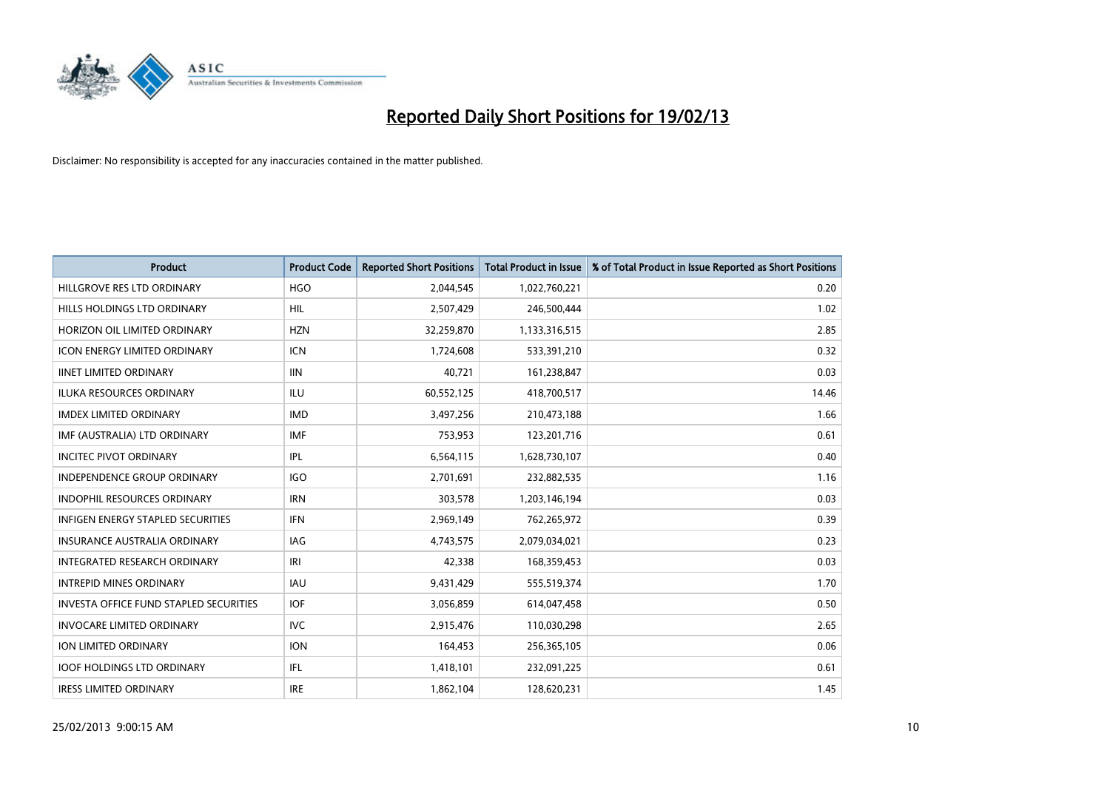

| <b>Product</b>                                | <b>Product Code</b> | <b>Reported Short Positions</b> | <b>Total Product in Issue</b> | % of Total Product in Issue Reported as Short Positions |
|-----------------------------------------------|---------------------|---------------------------------|-------------------------------|---------------------------------------------------------|
| HILLGROVE RES LTD ORDINARY                    | <b>HGO</b>          | 2,044,545                       | 1,022,760,221                 | 0.20                                                    |
| HILLS HOLDINGS LTD ORDINARY                   | <b>HIL</b>          | 2,507,429                       | 246,500,444                   | 1.02                                                    |
| HORIZON OIL LIMITED ORDINARY                  | <b>HZN</b>          | 32,259,870                      | 1,133,316,515                 | 2.85                                                    |
| <b>ICON ENERGY LIMITED ORDINARY</b>           | <b>ICN</b>          | 1,724,608                       | 533,391,210                   | 0.32                                                    |
| <b>IINET LIMITED ORDINARY</b>                 | <b>IIN</b>          | 40,721                          | 161,238,847                   | 0.03                                                    |
| <b>ILUKA RESOURCES ORDINARY</b>               | ILU                 | 60,552,125                      | 418,700,517                   | 14.46                                                   |
| <b>IMDEX LIMITED ORDINARY</b>                 | <b>IMD</b>          | 3,497,256                       | 210,473,188                   | 1.66                                                    |
| IMF (AUSTRALIA) LTD ORDINARY                  | <b>IMF</b>          | 753,953                         | 123,201,716                   | 0.61                                                    |
| <b>INCITEC PIVOT ORDINARY</b>                 | IPL                 | 6,564,115                       | 1,628,730,107                 | 0.40                                                    |
| <b>INDEPENDENCE GROUP ORDINARY</b>            | <b>IGO</b>          | 2,701,691                       | 232,882,535                   | 1.16                                                    |
| INDOPHIL RESOURCES ORDINARY                   | <b>IRN</b>          | 303,578                         | 1,203,146,194                 | 0.03                                                    |
| INFIGEN ENERGY STAPLED SECURITIES             | <b>IFN</b>          | 2,969,149                       | 762,265,972                   | 0.39                                                    |
| <b>INSURANCE AUSTRALIA ORDINARY</b>           | IAG                 | 4,743,575                       | 2,079,034,021                 | 0.23                                                    |
| <b>INTEGRATED RESEARCH ORDINARY</b>           | IRI                 | 42,338                          | 168,359,453                   | 0.03                                                    |
| <b>INTREPID MINES ORDINARY</b>                | <b>IAU</b>          | 9,431,429                       | 555,519,374                   | 1.70                                                    |
| <b>INVESTA OFFICE FUND STAPLED SECURITIES</b> | <b>IOF</b>          | 3,056,859                       | 614,047,458                   | 0.50                                                    |
| <b>INVOCARE LIMITED ORDINARY</b>              | <b>IVC</b>          | 2,915,476                       | 110,030,298                   | 2.65                                                    |
| ION LIMITED ORDINARY                          | <b>ION</b>          | 164,453                         | 256,365,105                   | 0.06                                                    |
| <b>IOOF HOLDINGS LTD ORDINARY</b>             | IFL.                | 1,418,101                       | 232,091,225                   | 0.61                                                    |
| <b>IRESS LIMITED ORDINARY</b>                 | <b>IRE</b>          | 1,862,104                       | 128,620,231                   | 1.45                                                    |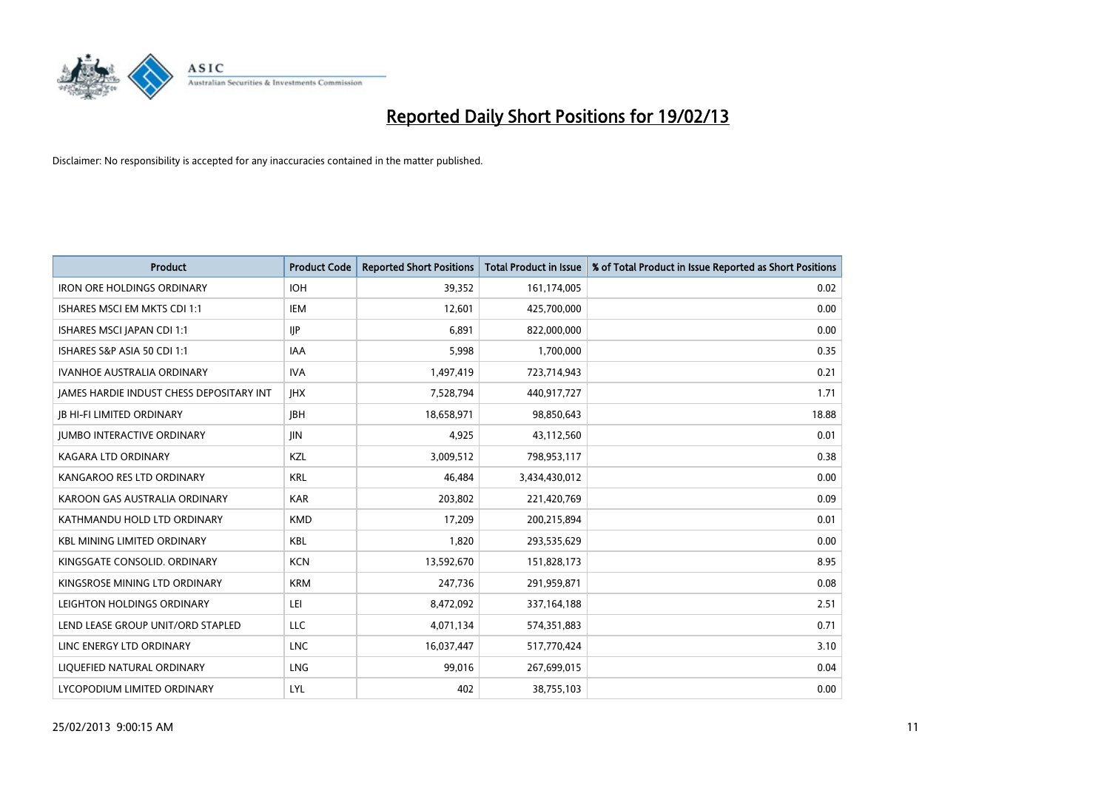

| <b>Product</b>                                  | <b>Product Code</b> | <b>Reported Short Positions</b> | <b>Total Product in Issue</b> | % of Total Product in Issue Reported as Short Positions |
|-------------------------------------------------|---------------------|---------------------------------|-------------------------------|---------------------------------------------------------|
| <b>IRON ORE HOLDINGS ORDINARY</b>               | <b>IOH</b>          | 39,352                          | 161,174,005                   | 0.02                                                    |
| ISHARES MSCI EM MKTS CDI 1:1                    | IEM                 | 12,601                          | 425,700,000                   | 0.00                                                    |
| ISHARES MSCI JAPAN CDI 1:1                      | <b>IIP</b>          | 6.891                           | 822,000,000                   | 0.00                                                    |
| ISHARES S&P ASIA 50 CDI 1:1                     | <b>IAA</b>          | 5,998                           | 1,700,000                     | 0.35                                                    |
| <b>IVANHOE AUSTRALIA ORDINARY</b>               | <b>IVA</b>          | 1,497,419                       | 723,714,943                   | 0.21                                                    |
| <b>JAMES HARDIE INDUST CHESS DEPOSITARY INT</b> | <b>IHX</b>          | 7,528,794                       | 440,917,727                   | 1.71                                                    |
| <b>IB HI-FI LIMITED ORDINARY</b>                | <b>JBH</b>          | 18,658,971                      | 98,850,643                    | 18.88                                                   |
| <b>JUMBO INTERACTIVE ORDINARY</b>               | <b>JIN</b>          | 4,925                           | 43,112,560                    | 0.01                                                    |
| <b>KAGARA LTD ORDINARY</b>                      | KZL                 | 3,009,512                       | 798,953,117                   | 0.38                                                    |
| KANGAROO RES LTD ORDINARY                       | <b>KRL</b>          | 46,484                          | 3,434,430,012                 | 0.00                                                    |
| KAROON GAS AUSTRALIA ORDINARY                   | <b>KAR</b>          | 203,802                         | 221,420,769                   | 0.09                                                    |
| KATHMANDU HOLD LTD ORDINARY                     | <b>KMD</b>          | 17,209                          | 200,215,894                   | 0.01                                                    |
| <b>KBL MINING LIMITED ORDINARY</b>              | <b>KBL</b>          | 1,820                           | 293,535,629                   | 0.00                                                    |
| KINGSGATE CONSOLID. ORDINARY                    | <b>KCN</b>          | 13,592,670                      | 151,828,173                   | 8.95                                                    |
| KINGSROSE MINING LTD ORDINARY                   | <b>KRM</b>          | 247,736                         | 291,959,871                   | 0.08                                                    |
| LEIGHTON HOLDINGS ORDINARY                      | LEI                 | 8,472,092                       | 337, 164, 188                 | 2.51                                                    |
| LEND LEASE GROUP UNIT/ORD STAPLED               | LLC                 | 4,071,134                       | 574,351,883                   | 0.71                                                    |
| LINC ENERGY LTD ORDINARY                        | <b>LNC</b>          | 16,037,447                      | 517,770,424                   | 3.10                                                    |
| LIQUEFIED NATURAL ORDINARY                      | <b>LNG</b>          | 99,016                          | 267,699,015                   | 0.04                                                    |
| LYCOPODIUM LIMITED ORDINARY                     | LYL                 | 402                             | 38,755,103                    | 0.00                                                    |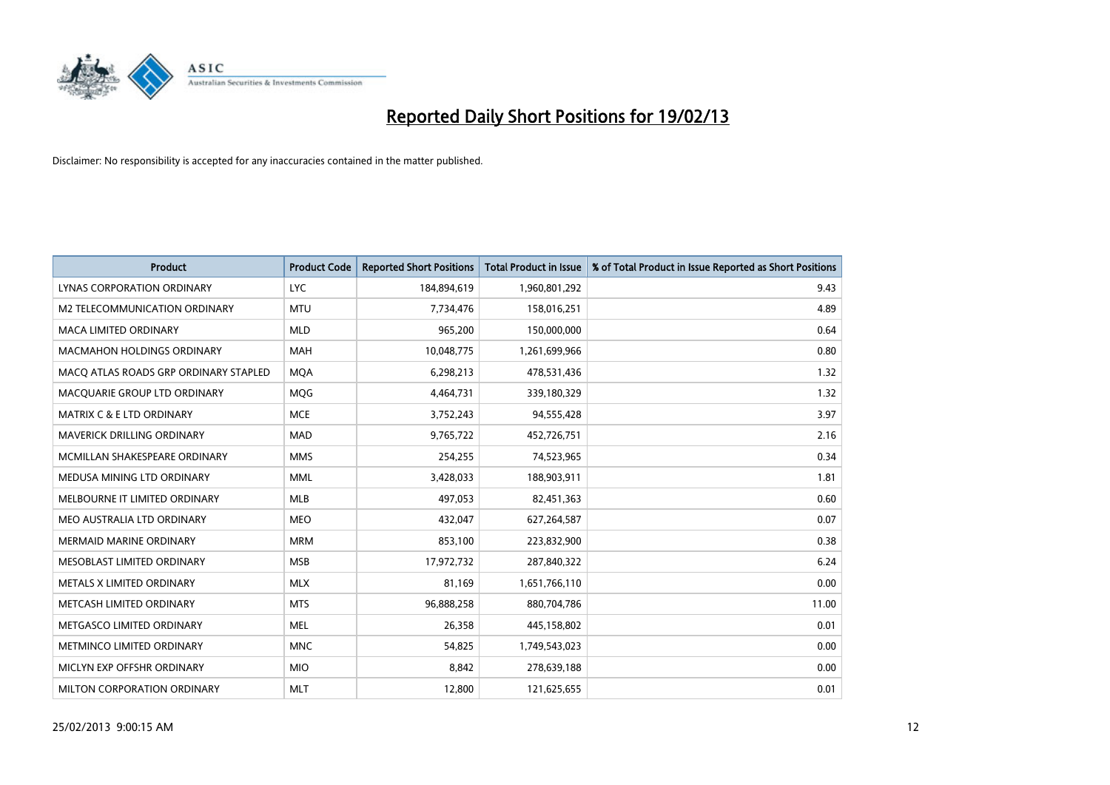

| <b>Product</b>                        | <b>Product Code</b> | <b>Reported Short Positions</b> | <b>Total Product in Issue</b> | % of Total Product in Issue Reported as Short Positions |
|---------------------------------------|---------------------|---------------------------------|-------------------------------|---------------------------------------------------------|
| <b>LYNAS CORPORATION ORDINARY</b>     | <b>LYC</b>          | 184,894,619                     | 1,960,801,292                 | 9.43                                                    |
| M2 TELECOMMUNICATION ORDINARY         | <b>MTU</b>          | 7,734,476                       | 158,016,251                   | 4.89                                                    |
| <b>MACA LIMITED ORDINARY</b>          | <b>MLD</b>          | 965,200                         | 150,000,000                   | 0.64                                                    |
| <b>MACMAHON HOLDINGS ORDINARY</b>     | <b>MAH</b>          | 10,048,775                      | 1,261,699,966                 | 0.80                                                    |
| MACQ ATLAS ROADS GRP ORDINARY STAPLED | <b>MQA</b>          | 6,298,213                       | 478,531,436                   | 1.32                                                    |
| MACOUARIE GROUP LTD ORDINARY          | <b>MOG</b>          | 4,464,731                       | 339,180,329                   | 1.32                                                    |
| <b>MATRIX C &amp; E LTD ORDINARY</b>  | <b>MCE</b>          | 3,752,243                       | 94,555,428                    | 3.97                                                    |
| MAVERICK DRILLING ORDINARY            | <b>MAD</b>          | 9,765,722                       | 452,726,751                   | 2.16                                                    |
| MCMILLAN SHAKESPEARE ORDINARY         | <b>MMS</b>          | 254,255                         | 74,523,965                    | 0.34                                                    |
| MEDUSA MINING LTD ORDINARY            | <b>MML</b>          | 3,428,033                       | 188,903,911                   | 1.81                                                    |
| MELBOURNE IT LIMITED ORDINARY         | <b>MLB</b>          | 497,053                         | 82,451,363                    | 0.60                                                    |
| MEO AUSTRALIA LTD ORDINARY            | <b>MEO</b>          | 432,047                         | 627,264,587                   | 0.07                                                    |
| MERMAID MARINE ORDINARY               | <b>MRM</b>          | 853,100                         | 223,832,900                   | 0.38                                                    |
| MESOBLAST LIMITED ORDINARY            | <b>MSB</b>          | 17,972,732                      | 287,840,322                   | 6.24                                                    |
| METALS X LIMITED ORDINARY             | <b>MLX</b>          | 81,169                          | 1,651,766,110                 | 0.00                                                    |
| METCASH LIMITED ORDINARY              | <b>MTS</b>          | 96,888,258                      | 880,704,786                   | 11.00                                                   |
| METGASCO LIMITED ORDINARY             | <b>MEL</b>          | 26,358                          | 445,158,802                   | 0.01                                                    |
| METMINCO LIMITED ORDINARY             | <b>MNC</b>          | 54,825                          | 1,749,543,023                 | 0.00                                                    |
| MICLYN EXP OFFSHR ORDINARY            | <b>MIO</b>          | 8,842                           | 278,639,188                   | 0.00                                                    |
| MILTON CORPORATION ORDINARY           | <b>MLT</b>          | 12,800                          | 121,625,655                   | 0.01                                                    |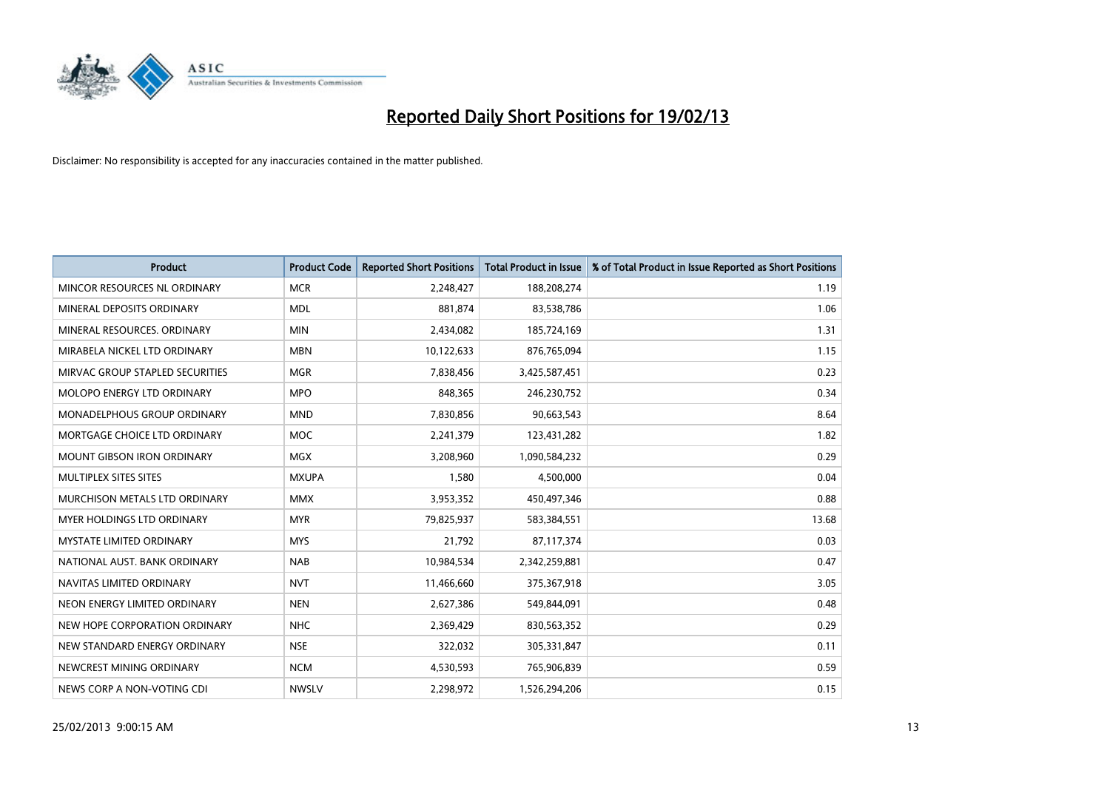

| <b>Product</b>                       | <b>Product Code</b> | <b>Reported Short Positions</b> | <b>Total Product in Issue</b> | % of Total Product in Issue Reported as Short Positions |
|--------------------------------------|---------------------|---------------------------------|-------------------------------|---------------------------------------------------------|
| MINCOR RESOURCES NL ORDINARY         | <b>MCR</b>          | 2,248,427                       | 188,208,274                   | 1.19                                                    |
| MINERAL DEPOSITS ORDINARY            | <b>MDL</b>          | 881.874                         | 83,538,786                    | 1.06                                                    |
| MINERAL RESOURCES, ORDINARY          | <b>MIN</b>          | 2,434,082                       | 185,724,169                   | 1.31                                                    |
| MIRABELA NICKEL LTD ORDINARY         | <b>MBN</b>          | 10,122,633                      | 876,765,094                   | 1.15                                                    |
| MIRVAC GROUP STAPLED SECURITIES      | <b>MGR</b>          | 7,838,456                       | 3,425,587,451                 | 0.23                                                    |
| <b>MOLOPO ENERGY LTD ORDINARY</b>    | <b>MPO</b>          | 848,365                         | 246,230,752                   | 0.34                                                    |
| MONADELPHOUS GROUP ORDINARY          | <b>MND</b>          | 7,830,856                       | 90,663,543                    | 8.64                                                    |
| MORTGAGE CHOICE LTD ORDINARY         | <b>MOC</b>          | 2,241,379                       | 123,431,282                   | 1.82                                                    |
| <b>MOUNT GIBSON IRON ORDINARY</b>    | <b>MGX</b>          | 3,208,960                       | 1,090,584,232                 | 0.29                                                    |
| MULTIPLEX SITES SITES                | <b>MXUPA</b>        | 1,580                           | 4,500,000                     | 0.04                                                    |
| <b>MURCHISON METALS LTD ORDINARY</b> | <b>MMX</b>          | 3,953,352                       | 450,497,346                   | 0.88                                                    |
| <b>MYER HOLDINGS LTD ORDINARY</b>    | <b>MYR</b>          | 79,825,937                      | 583,384,551                   | 13.68                                                   |
| <b>MYSTATE LIMITED ORDINARY</b>      | <b>MYS</b>          | 21,792                          | 87,117,374                    | 0.03                                                    |
| NATIONAL AUST, BANK ORDINARY         | <b>NAB</b>          | 10,984,534                      | 2,342,259,881                 | 0.47                                                    |
| NAVITAS LIMITED ORDINARY             | <b>NVT</b>          | 11,466,660                      | 375,367,918                   | 3.05                                                    |
| NEON ENERGY LIMITED ORDINARY         | <b>NEN</b>          | 2,627,386                       | 549,844,091                   | 0.48                                                    |
| NEW HOPE CORPORATION ORDINARY        | <b>NHC</b>          | 2,369,429                       | 830,563,352                   | 0.29                                                    |
| NEW STANDARD ENERGY ORDINARY         | <b>NSE</b>          | 322,032                         | 305,331,847                   | 0.11                                                    |
| NEWCREST MINING ORDINARY             | <b>NCM</b>          | 4,530,593                       | 765,906,839                   | 0.59                                                    |
| NEWS CORP A NON-VOTING CDI           | <b>NWSLV</b>        | 2,298,972                       | 1,526,294,206                 | 0.15                                                    |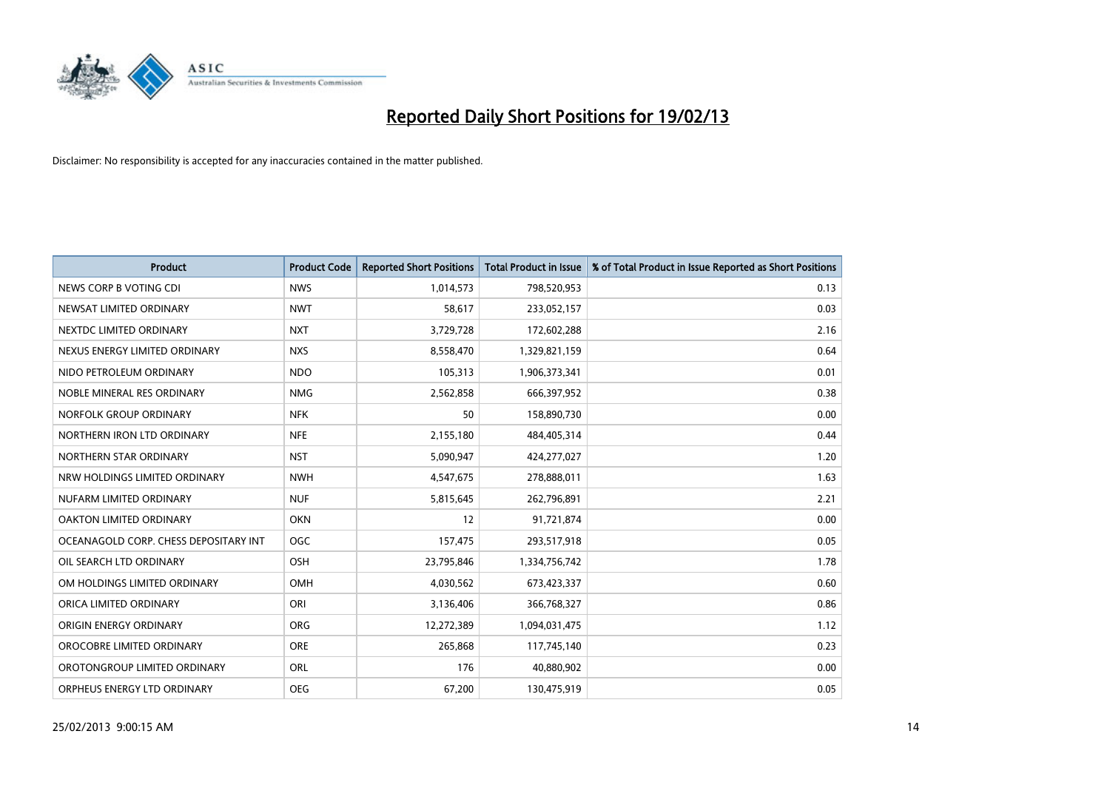

| <b>Product</b>                        | <b>Product Code</b> | <b>Reported Short Positions</b> | <b>Total Product in Issue</b> | % of Total Product in Issue Reported as Short Positions |
|---------------------------------------|---------------------|---------------------------------|-------------------------------|---------------------------------------------------------|
| NEWS CORP B VOTING CDI                | <b>NWS</b>          | 1,014,573                       | 798,520,953                   | 0.13                                                    |
| NEWSAT LIMITED ORDINARY               | <b>NWT</b>          | 58,617                          | 233,052,157                   | 0.03                                                    |
| NEXTDC LIMITED ORDINARY               | <b>NXT</b>          | 3,729,728                       | 172,602,288                   | 2.16                                                    |
| NEXUS ENERGY LIMITED ORDINARY         | <b>NXS</b>          | 8,558,470                       | 1,329,821,159                 | 0.64                                                    |
| NIDO PETROLEUM ORDINARY               | <b>NDO</b>          | 105,313                         | 1,906,373,341                 | 0.01                                                    |
| NOBLE MINERAL RES ORDINARY            | <b>NMG</b>          | 2,562,858                       | 666,397,952                   | 0.38                                                    |
| NORFOLK GROUP ORDINARY                | <b>NFK</b>          | 50                              | 158,890,730                   | 0.00                                                    |
| NORTHERN IRON LTD ORDINARY            | <b>NFE</b>          | 2,155,180                       | 484,405,314                   | 0.44                                                    |
| NORTHERN STAR ORDINARY                | <b>NST</b>          | 5,090,947                       | 424,277,027                   | 1.20                                                    |
| NRW HOLDINGS LIMITED ORDINARY         | <b>NWH</b>          | 4,547,675                       | 278,888,011                   | 1.63                                                    |
| NUFARM LIMITED ORDINARY               | <b>NUF</b>          | 5,815,645                       | 262,796,891                   | 2.21                                                    |
| OAKTON LIMITED ORDINARY               | <b>OKN</b>          | 12                              | 91,721,874                    | 0.00                                                    |
| OCEANAGOLD CORP. CHESS DEPOSITARY INT | <b>OGC</b>          | 157,475                         | 293,517,918                   | 0.05                                                    |
| OIL SEARCH LTD ORDINARY               | OSH                 | 23,795,846                      | 1,334,756,742                 | 1.78                                                    |
| OM HOLDINGS LIMITED ORDINARY          | OMH                 | 4,030,562                       | 673,423,337                   | 0.60                                                    |
| ORICA LIMITED ORDINARY                | ORI                 | 3,136,406                       | 366,768,327                   | 0.86                                                    |
| ORIGIN ENERGY ORDINARY                | <b>ORG</b>          | 12,272,389                      | 1,094,031,475                 | 1.12                                                    |
| OROCOBRE LIMITED ORDINARY             | <b>ORE</b>          | 265,868                         | 117,745,140                   | 0.23                                                    |
| OROTONGROUP LIMITED ORDINARY          | ORL                 | 176                             | 40,880,902                    | 0.00                                                    |
| ORPHEUS ENERGY LTD ORDINARY           | <b>OEG</b>          | 67,200                          | 130,475,919                   | 0.05                                                    |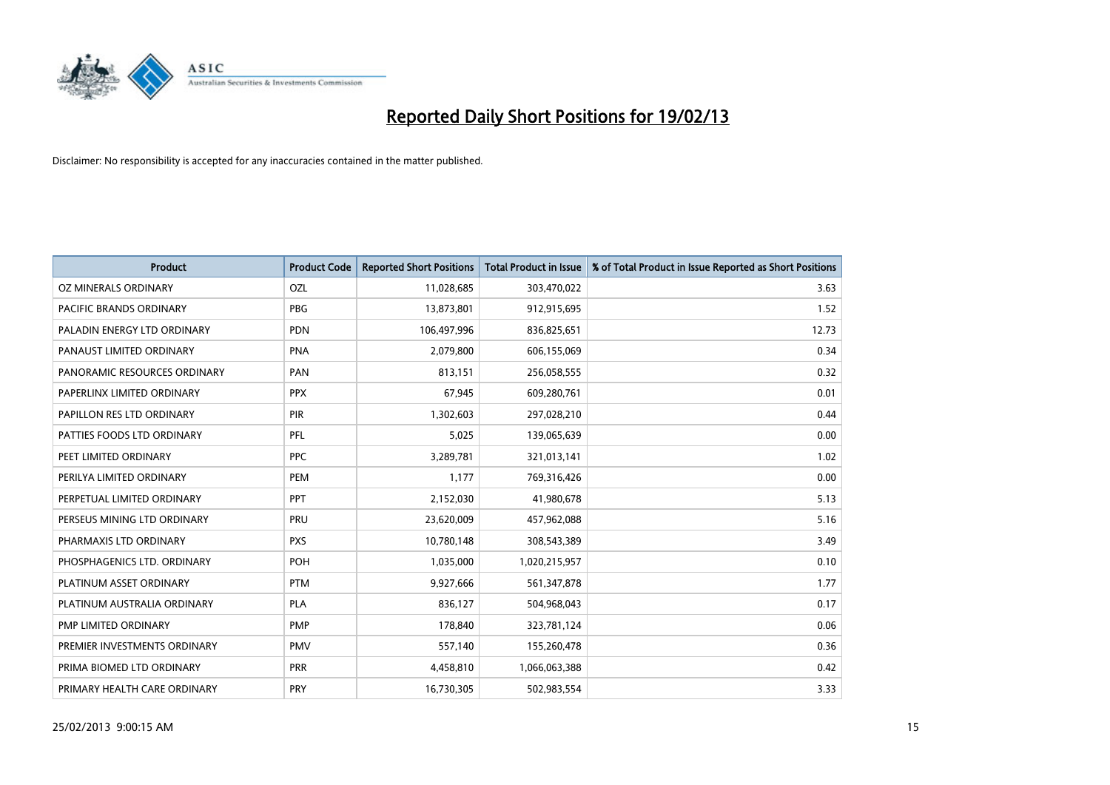

| <b>Product</b>               | <b>Product Code</b> | <b>Reported Short Positions</b> | <b>Total Product in Issue</b> | % of Total Product in Issue Reported as Short Positions |
|------------------------------|---------------------|---------------------------------|-------------------------------|---------------------------------------------------------|
| OZ MINERALS ORDINARY         | OZL                 | 11,028,685                      | 303,470,022                   | 3.63                                                    |
| PACIFIC BRANDS ORDINARY      | <b>PBG</b>          | 13,873,801                      | 912,915,695                   | 1.52                                                    |
| PALADIN ENERGY LTD ORDINARY  | <b>PDN</b>          | 106,497,996                     | 836,825,651                   | 12.73                                                   |
| PANAUST LIMITED ORDINARY     | <b>PNA</b>          | 2,079,800                       | 606,155,069                   | 0.34                                                    |
| PANORAMIC RESOURCES ORDINARY | PAN                 | 813,151                         | 256,058,555                   | 0.32                                                    |
| PAPERLINX LIMITED ORDINARY   | <b>PPX</b>          | 67,945                          | 609,280,761                   | 0.01                                                    |
| PAPILLON RES LTD ORDINARY    | <b>PIR</b>          | 1,302,603                       | 297,028,210                   | 0.44                                                    |
| PATTIES FOODS LTD ORDINARY   | PFL                 | 5,025                           | 139,065,639                   | 0.00                                                    |
| PEET LIMITED ORDINARY        | <b>PPC</b>          | 3,289,781                       | 321,013,141                   | 1.02                                                    |
| PERILYA LIMITED ORDINARY     | PEM                 | 1,177                           | 769,316,426                   | 0.00                                                    |
| PERPETUAL LIMITED ORDINARY   | <b>PPT</b>          | 2,152,030                       | 41,980,678                    | 5.13                                                    |
| PERSEUS MINING LTD ORDINARY  | PRU                 | 23,620,009                      | 457,962,088                   | 5.16                                                    |
| PHARMAXIS LTD ORDINARY       | <b>PXS</b>          | 10,780,148                      | 308,543,389                   | 3.49                                                    |
| PHOSPHAGENICS LTD. ORDINARY  | POH                 | 1,035,000                       | 1,020,215,957                 | 0.10                                                    |
| PLATINUM ASSET ORDINARY      | <b>PTM</b>          | 9,927,666                       | 561,347,878                   | 1.77                                                    |
| PLATINUM AUSTRALIA ORDINARY  | <b>PLA</b>          | 836,127                         | 504,968,043                   | 0.17                                                    |
| PMP LIMITED ORDINARY         | <b>PMP</b>          | 178,840                         | 323,781,124                   | 0.06                                                    |
| PREMIER INVESTMENTS ORDINARY | <b>PMV</b>          | 557,140                         | 155,260,478                   | 0.36                                                    |
| PRIMA BIOMED LTD ORDINARY    | <b>PRR</b>          | 4,458,810                       | 1,066,063,388                 | 0.42                                                    |
| PRIMARY HEALTH CARE ORDINARY | <b>PRY</b>          | 16,730,305                      | 502,983,554                   | 3.33                                                    |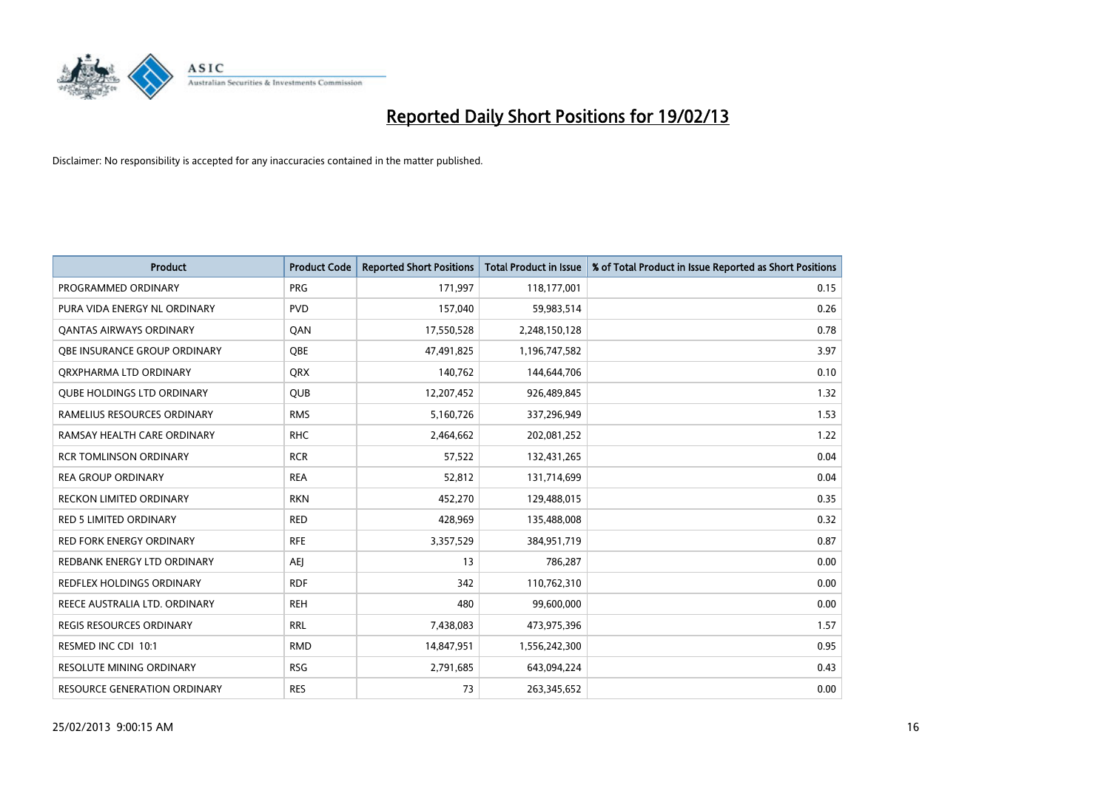

| <b>Product</b>                      | <b>Product Code</b> | <b>Reported Short Positions</b> | <b>Total Product in Issue</b> | % of Total Product in Issue Reported as Short Positions |
|-------------------------------------|---------------------|---------------------------------|-------------------------------|---------------------------------------------------------|
| PROGRAMMED ORDINARY                 | <b>PRG</b>          | 171,997                         | 118,177,001                   | 0.15                                                    |
| PURA VIDA ENERGY NL ORDINARY        | <b>PVD</b>          | 157,040                         | 59,983,514                    | 0.26                                                    |
| <b>QANTAS AIRWAYS ORDINARY</b>      | QAN                 | 17,550,528                      | 2,248,150,128                 | 0.78                                                    |
| <b>OBE INSURANCE GROUP ORDINARY</b> | <b>OBE</b>          | 47,491,825                      | 1,196,747,582                 | 3.97                                                    |
| ORXPHARMA LTD ORDINARY              | <b>ORX</b>          | 140,762                         | 144,644,706                   | 0.10                                                    |
| <b>QUBE HOLDINGS LTD ORDINARY</b>   | <b>QUB</b>          | 12,207,452                      | 926,489,845                   | 1.32                                                    |
| RAMELIUS RESOURCES ORDINARY         | <b>RMS</b>          | 5,160,726                       | 337,296,949                   | 1.53                                                    |
| RAMSAY HEALTH CARE ORDINARY         | <b>RHC</b>          | 2,464,662                       | 202,081,252                   | 1.22                                                    |
| <b>RCR TOMLINSON ORDINARY</b>       | <b>RCR</b>          | 57,522                          | 132,431,265                   | 0.04                                                    |
| <b>REA GROUP ORDINARY</b>           | <b>REA</b>          | 52,812                          | 131,714,699                   | 0.04                                                    |
| <b>RECKON LIMITED ORDINARY</b>      | <b>RKN</b>          | 452,270                         | 129,488,015                   | 0.35                                                    |
| <b>RED 5 LIMITED ORDINARY</b>       | <b>RED</b>          | 428,969                         | 135,488,008                   | 0.32                                                    |
| <b>RED FORK ENERGY ORDINARY</b>     | <b>RFE</b>          | 3,357,529                       | 384,951,719                   | 0.87                                                    |
| REDBANK ENERGY LTD ORDINARY         | AEI                 | 13                              | 786,287                       | 0.00                                                    |
| <b>REDFLEX HOLDINGS ORDINARY</b>    | <b>RDF</b>          | 342                             | 110,762,310                   | 0.00                                                    |
| REECE AUSTRALIA LTD. ORDINARY       | <b>REH</b>          | 480                             | 99,600,000                    | 0.00                                                    |
| <b>REGIS RESOURCES ORDINARY</b>     | <b>RRL</b>          | 7,438,083                       | 473,975,396                   | 1.57                                                    |
| RESMED INC CDI 10:1                 | <b>RMD</b>          | 14,847,951                      | 1,556,242,300                 | 0.95                                                    |
| <b>RESOLUTE MINING ORDINARY</b>     | <b>RSG</b>          | 2,791,685                       | 643,094,224                   | 0.43                                                    |
| RESOURCE GENERATION ORDINARY        | <b>RES</b>          | 73                              | 263,345,652                   | 0.00                                                    |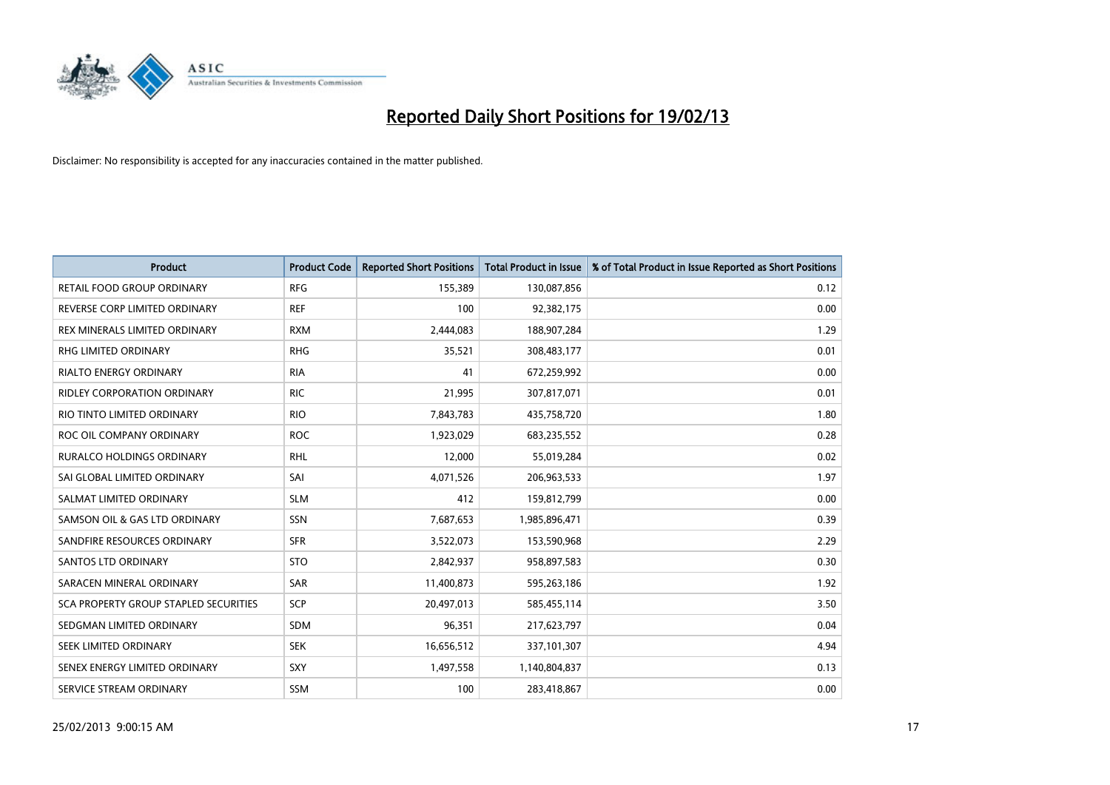

| <b>Product</b>                               | <b>Product Code</b> | <b>Reported Short Positions</b> | <b>Total Product in Issue</b> | % of Total Product in Issue Reported as Short Positions |
|----------------------------------------------|---------------------|---------------------------------|-------------------------------|---------------------------------------------------------|
| RETAIL FOOD GROUP ORDINARY                   | <b>RFG</b>          | 155,389                         | 130,087,856                   | 0.12                                                    |
| REVERSE CORP LIMITED ORDINARY                | <b>REF</b>          | 100                             | 92,382,175                    | 0.00                                                    |
| REX MINERALS LIMITED ORDINARY                | <b>RXM</b>          | 2,444,083                       | 188,907,284                   | 1.29                                                    |
| RHG LIMITED ORDINARY                         | <b>RHG</b>          | 35,521                          | 308,483,177                   | 0.01                                                    |
| <b>RIALTO ENERGY ORDINARY</b>                | <b>RIA</b>          | 41                              | 672,259,992                   | 0.00                                                    |
| <b>RIDLEY CORPORATION ORDINARY</b>           | <b>RIC</b>          | 21,995                          | 307,817,071                   | 0.01                                                    |
| RIO TINTO LIMITED ORDINARY                   | <b>RIO</b>          | 7,843,783                       | 435,758,720                   | 1.80                                                    |
| ROC OIL COMPANY ORDINARY                     | <b>ROC</b>          | 1,923,029                       | 683,235,552                   | 0.28                                                    |
| <b>RURALCO HOLDINGS ORDINARY</b>             | <b>RHL</b>          | 12,000                          | 55,019,284                    | 0.02                                                    |
| SAI GLOBAL LIMITED ORDINARY                  | SAI                 | 4,071,526                       | 206,963,533                   | 1.97                                                    |
| SALMAT LIMITED ORDINARY                      | <b>SLM</b>          | 412                             | 159,812,799                   | 0.00                                                    |
| SAMSON OIL & GAS LTD ORDINARY                | SSN                 | 7,687,653                       | 1,985,896,471                 | 0.39                                                    |
| SANDFIRE RESOURCES ORDINARY                  | <b>SFR</b>          | 3,522,073                       | 153,590,968                   | 2.29                                                    |
| <b>SANTOS LTD ORDINARY</b>                   | <b>STO</b>          | 2,842,937                       | 958,897,583                   | 0.30                                                    |
| SARACEN MINERAL ORDINARY                     | SAR                 | 11,400,873                      | 595,263,186                   | 1.92                                                    |
| <b>SCA PROPERTY GROUP STAPLED SECURITIES</b> | SCP                 | 20,497,013                      | 585,455,114                   | 3.50                                                    |
| SEDGMAN LIMITED ORDINARY                     | <b>SDM</b>          | 96,351                          | 217,623,797                   | 0.04                                                    |
| <b>SEEK LIMITED ORDINARY</b>                 | <b>SEK</b>          | 16,656,512                      | 337,101,307                   | 4.94                                                    |
| SENEX ENERGY LIMITED ORDINARY                | <b>SXY</b>          | 1,497,558                       | 1,140,804,837                 | 0.13                                                    |
| SERVICE STREAM ORDINARY                      | <b>SSM</b>          | 100                             | 283,418,867                   | 0.00                                                    |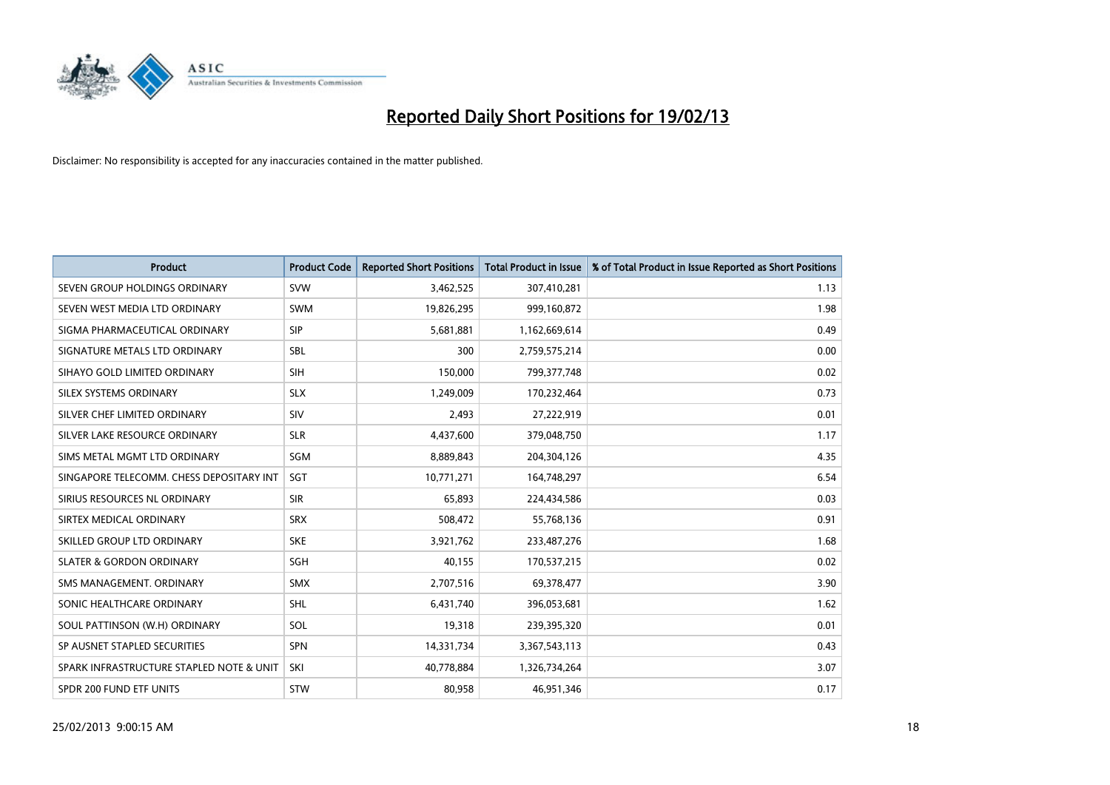

| <b>Product</b>                           | <b>Product Code</b> | <b>Reported Short Positions</b> | <b>Total Product in Issue</b> | % of Total Product in Issue Reported as Short Positions |
|------------------------------------------|---------------------|---------------------------------|-------------------------------|---------------------------------------------------------|
| SEVEN GROUP HOLDINGS ORDINARY            | <b>SVW</b>          | 3,462,525                       | 307,410,281                   | 1.13                                                    |
| SEVEN WEST MEDIA LTD ORDINARY            | <b>SWM</b>          | 19,826,295                      | 999,160,872                   | 1.98                                                    |
| SIGMA PHARMACEUTICAL ORDINARY            | <b>SIP</b>          | 5,681,881                       | 1,162,669,614                 | 0.49                                                    |
| SIGNATURE METALS LTD ORDINARY            | <b>SBL</b>          | 300                             | 2,759,575,214                 | 0.00                                                    |
| SIHAYO GOLD LIMITED ORDINARY             | <b>SIH</b>          | 150,000                         | 799, 377, 748                 | 0.02                                                    |
| SILEX SYSTEMS ORDINARY                   | <b>SLX</b>          | 1,249,009                       | 170,232,464                   | 0.73                                                    |
| SILVER CHEF LIMITED ORDINARY             | SIV                 | 2,493                           | 27,222,919                    | 0.01                                                    |
| SILVER LAKE RESOURCE ORDINARY            | <b>SLR</b>          | 4,437,600                       | 379,048,750                   | 1.17                                                    |
| SIMS METAL MGMT LTD ORDINARY             | SGM                 | 8,889,843                       | 204,304,126                   | 4.35                                                    |
| SINGAPORE TELECOMM. CHESS DEPOSITARY INT | SGT                 | 10,771,271                      | 164,748,297                   | 6.54                                                    |
| SIRIUS RESOURCES NL ORDINARY             | <b>SIR</b>          | 65,893                          | 224,434,586                   | 0.03                                                    |
| SIRTEX MEDICAL ORDINARY                  | <b>SRX</b>          | 508,472                         | 55,768,136                    | 0.91                                                    |
| SKILLED GROUP LTD ORDINARY               | <b>SKE</b>          | 3,921,762                       | 233,487,276                   | 1.68                                                    |
| <b>SLATER &amp; GORDON ORDINARY</b>      | <b>SGH</b>          | 40,155                          | 170,537,215                   | 0.02                                                    |
| SMS MANAGEMENT, ORDINARY                 | <b>SMX</b>          | 2,707,516                       | 69,378,477                    | 3.90                                                    |
| SONIC HEALTHCARE ORDINARY                | <b>SHL</b>          | 6,431,740                       | 396,053,681                   | 1.62                                                    |
| SOUL PATTINSON (W.H) ORDINARY            | SOL                 | 19,318                          | 239,395,320                   | 0.01                                                    |
| SP AUSNET STAPLED SECURITIES             | <b>SPN</b>          | 14,331,734                      | 3,367,543,113                 | 0.43                                                    |
| SPARK INFRASTRUCTURE STAPLED NOTE & UNIT | SKI                 | 40,778,884                      | 1,326,734,264                 | 3.07                                                    |
| SPDR 200 FUND ETF UNITS                  | <b>STW</b>          | 80,958                          | 46,951,346                    | 0.17                                                    |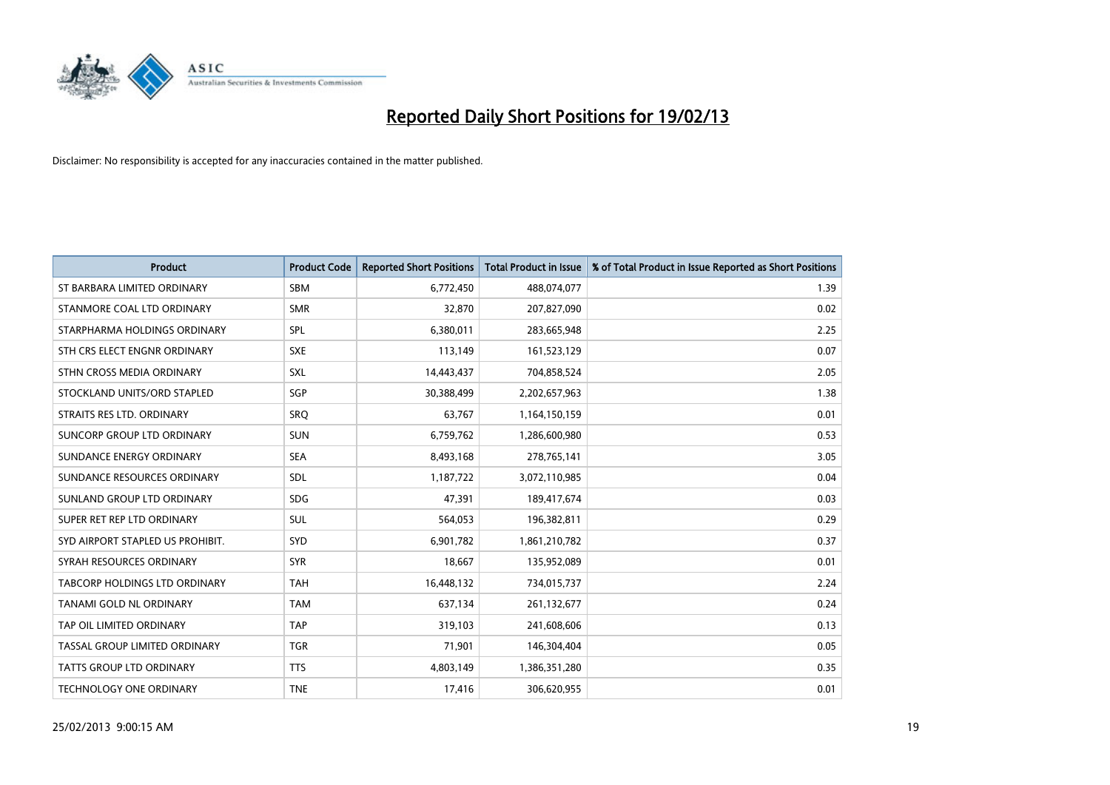

| <b>Product</b>                   | <b>Product Code</b> | <b>Reported Short Positions</b> | <b>Total Product in Issue</b> | % of Total Product in Issue Reported as Short Positions |
|----------------------------------|---------------------|---------------------------------|-------------------------------|---------------------------------------------------------|
| ST BARBARA LIMITED ORDINARY      | <b>SBM</b>          | 6,772,450                       | 488,074,077                   | 1.39                                                    |
| STANMORE COAL LTD ORDINARY       | <b>SMR</b>          | 32,870                          | 207,827,090                   | 0.02                                                    |
| STARPHARMA HOLDINGS ORDINARY     | SPL                 | 6,380,011                       | 283,665,948                   | 2.25                                                    |
| STH CRS ELECT ENGNR ORDINARY     | <b>SXE</b>          | 113,149                         | 161,523,129                   | 0.07                                                    |
| STHN CROSS MEDIA ORDINARY        | <b>SXL</b>          | 14,443,437                      | 704,858,524                   | 2.05                                                    |
| STOCKLAND UNITS/ORD STAPLED      | SGP                 | 30,388,499                      | 2,202,657,963                 | 1.38                                                    |
| STRAITS RES LTD. ORDINARY        | <b>SRO</b>          | 63,767                          | 1,164,150,159                 | 0.01                                                    |
| SUNCORP GROUP LTD ORDINARY       | <b>SUN</b>          | 6,759,762                       | 1,286,600,980                 | 0.53                                                    |
| SUNDANCE ENERGY ORDINARY         | <b>SEA</b>          | 8,493,168                       | 278,765,141                   | 3.05                                                    |
| SUNDANCE RESOURCES ORDINARY      | <b>SDL</b>          | 1,187,722                       | 3,072,110,985                 | 0.04                                                    |
| SUNLAND GROUP LTD ORDINARY       | <b>SDG</b>          | 47,391                          | 189,417,674                   | 0.03                                                    |
| SUPER RET REP LTD ORDINARY       | <b>SUL</b>          | 564,053                         | 196,382,811                   | 0.29                                                    |
| SYD AIRPORT STAPLED US PROHIBIT. | <b>SYD</b>          | 6,901,782                       | 1,861,210,782                 | 0.37                                                    |
| SYRAH RESOURCES ORDINARY         | <b>SYR</b>          | 18,667                          | 135,952,089                   | 0.01                                                    |
| TABCORP HOLDINGS LTD ORDINARY    | <b>TAH</b>          | 16,448,132                      | 734,015,737                   | 2.24                                                    |
| TANAMI GOLD NL ORDINARY          | <b>TAM</b>          | 637,134                         | 261,132,677                   | 0.24                                                    |
| TAP OIL LIMITED ORDINARY         | <b>TAP</b>          | 319,103                         | 241,608,606                   | 0.13                                                    |
| TASSAL GROUP LIMITED ORDINARY    | <b>TGR</b>          | 71,901                          | 146,304,404                   | 0.05                                                    |
| <b>TATTS GROUP LTD ORDINARY</b>  | <b>TTS</b>          | 4,803,149                       | 1,386,351,280                 | 0.35                                                    |
| TECHNOLOGY ONE ORDINARY          | <b>TNE</b>          | 17,416                          | 306,620,955                   | 0.01                                                    |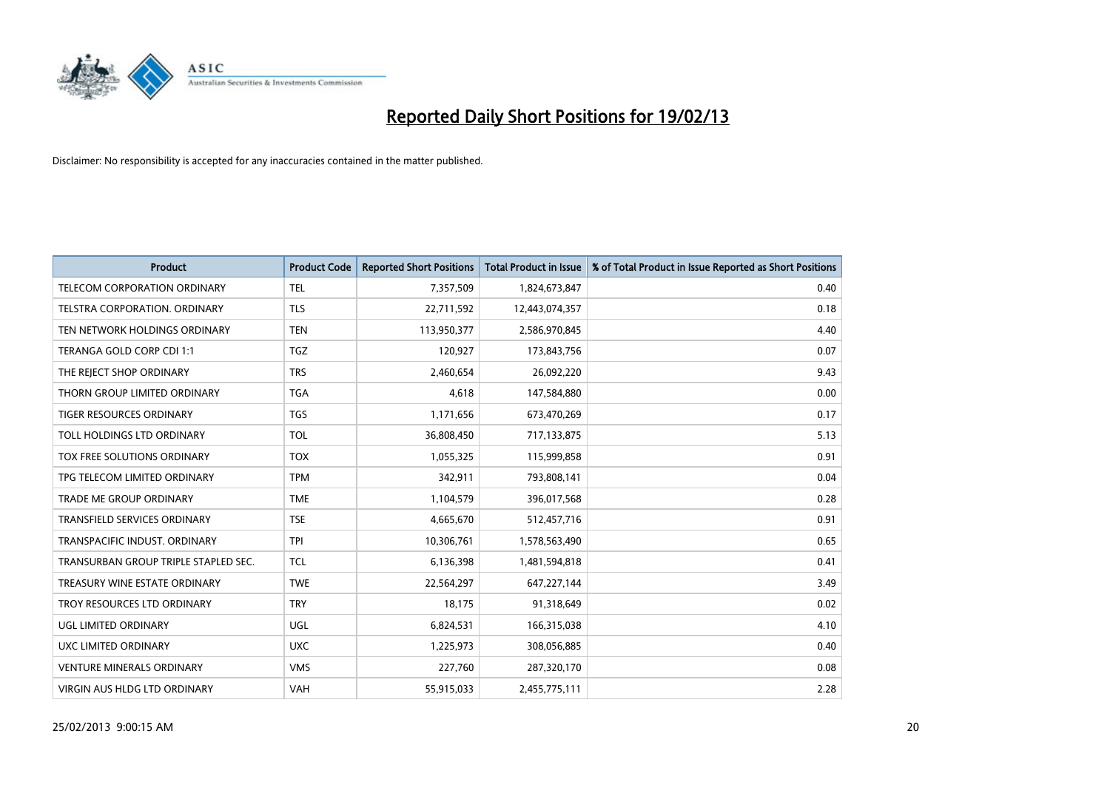

| <b>Product</b>                       | <b>Product Code</b> | <b>Reported Short Positions</b> | <b>Total Product in Issue</b> | % of Total Product in Issue Reported as Short Positions |
|--------------------------------------|---------------------|---------------------------------|-------------------------------|---------------------------------------------------------|
| <b>TELECOM CORPORATION ORDINARY</b>  | <b>TEL</b>          | 7,357,509                       | 1,824,673,847                 | 0.40                                                    |
| TELSTRA CORPORATION. ORDINARY        | <b>TLS</b>          | 22,711,592                      | 12,443,074,357                | 0.18                                                    |
| TEN NETWORK HOLDINGS ORDINARY        | <b>TEN</b>          | 113,950,377                     | 2,586,970,845                 | 4.40                                                    |
| TERANGA GOLD CORP CDI 1:1            | <b>TGZ</b>          | 120,927                         | 173,843,756                   | 0.07                                                    |
| THE REJECT SHOP ORDINARY             | <b>TRS</b>          | 2,460,654                       | 26,092,220                    | 9.43                                                    |
| THORN GROUP LIMITED ORDINARY         | <b>TGA</b>          | 4,618                           | 147,584,880                   | 0.00                                                    |
| TIGER RESOURCES ORDINARY             | <b>TGS</b>          | 1,171,656                       | 673,470,269                   | 0.17                                                    |
| TOLL HOLDINGS LTD ORDINARY           | <b>TOL</b>          | 36,808,450                      | 717,133,875                   | 5.13                                                    |
| TOX FREE SOLUTIONS ORDINARY          | <b>TOX</b>          | 1,055,325                       | 115,999,858                   | 0.91                                                    |
| TPG TELECOM LIMITED ORDINARY         | <b>TPM</b>          | 342,911                         | 793,808,141                   | 0.04                                                    |
| TRADE ME GROUP ORDINARY              | <b>TME</b>          | 1,104,579                       | 396,017,568                   | 0.28                                                    |
| TRANSFIELD SERVICES ORDINARY         | <b>TSE</b>          | 4,665,670                       | 512,457,716                   | 0.91                                                    |
| TRANSPACIFIC INDUST, ORDINARY        | <b>TPI</b>          | 10,306,761                      | 1,578,563,490                 | 0.65                                                    |
| TRANSURBAN GROUP TRIPLE STAPLED SEC. | <b>TCL</b>          | 6,136,398                       | 1,481,594,818                 | 0.41                                                    |
| TREASURY WINE ESTATE ORDINARY        | <b>TWE</b>          | 22,564,297                      | 647, 227, 144                 | 3.49                                                    |
| TROY RESOURCES LTD ORDINARY          | <b>TRY</b>          | 18,175                          | 91,318,649                    | 0.02                                                    |
| UGL LIMITED ORDINARY                 | UGL                 | 6,824,531                       | 166,315,038                   | 4.10                                                    |
| UXC LIMITED ORDINARY                 | <b>UXC</b>          | 1,225,973                       | 308,056,885                   | 0.40                                                    |
| <b>VENTURE MINERALS ORDINARY</b>     | <b>VMS</b>          | 227,760                         | 287,320,170                   | 0.08                                                    |
| VIRGIN AUS HLDG LTD ORDINARY         | VAH                 | 55,915,033                      | 2,455,775,111                 | 2.28                                                    |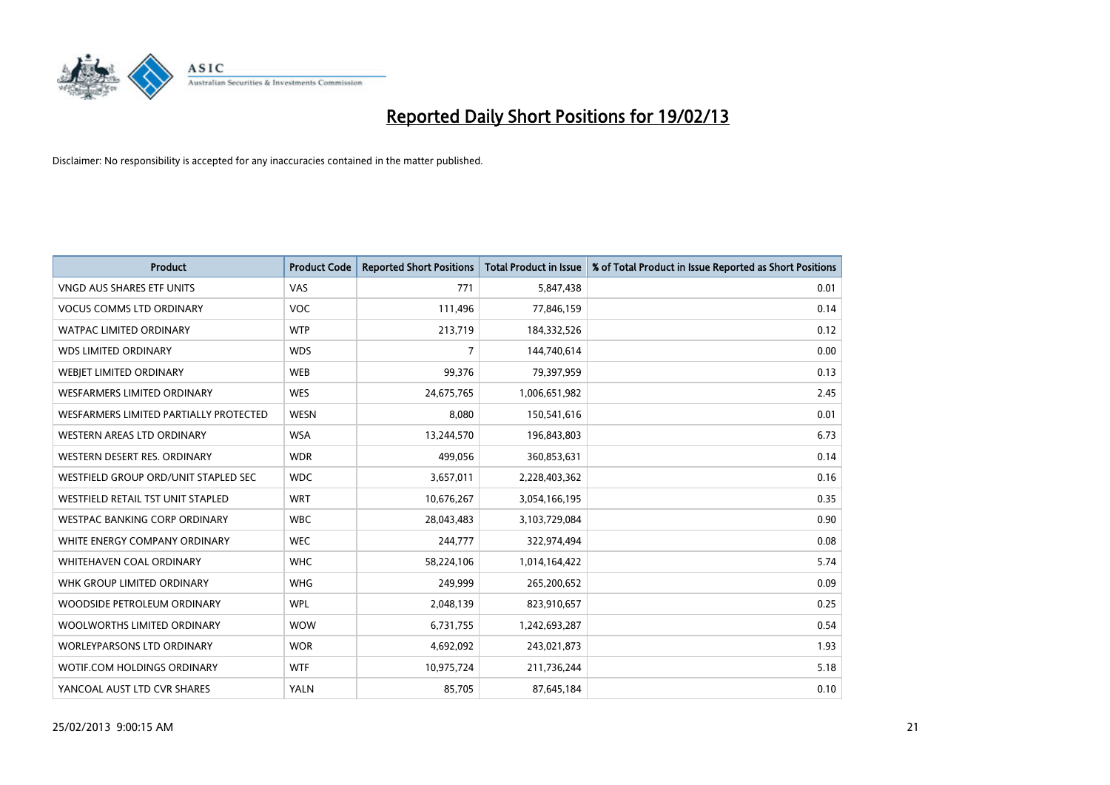

| <b>Product</b>                                | <b>Product Code</b> | <b>Reported Short Positions</b> | <b>Total Product in Issue</b> | % of Total Product in Issue Reported as Short Positions |
|-----------------------------------------------|---------------------|---------------------------------|-------------------------------|---------------------------------------------------------|
| <b>VNGD AUS SHARES ETF UNITS</b>              | <b>VAS</b>          | 771                             | 5,847,438                     | 0.01                                                    |
| <b>VOCUS COMMS LTD ORDINARY</b>               | <b>VOC</b>          | 111,496                         | 77,846,159                    | 0.14                                                    |
| WATPAC LIMITED ORDINARY                       | <b>WTP</b>          | 213,719                         | 184,332,526                   | 0.12                                                    |
| <b>WDS LIMITED ORDINARY</b>                   | <b>WDS</b>          | 7                               | 144,740,614                   | 0.00                                                    |
| WEBIET LIMITED ORDINARY                       | <b>WEB</b>          | 99,376                          | 79,397,959                    | 0.13                                                    |
| <b>WESFARMERS LIMITED ORDINARY</b>            | <b>WES</b>          | 24,675,765                      | 1,006,651,982                 | 2.45                                                    |
| <b>WESFARMERS LIMITED PARTIALLY PROTECTED</b> | <b>WESN</b>         | 8,080                           | 150,541,616                   | 0.01                                                    |
| WESTERN AREAS LTD ORDINARY                    | <b>WSA</b>          | 13,244,570                      | 196,843,803                   | 6.73                                                    |
| WESTERN DESERT RES. ORDINARY                  | <b>WDR</b>          | 499.056                         | 360,853,631                   | 0.14                                                    |
| WESTFIELD GROUP ORD/UNIT STAPLED SEC          | <b>WDC</b>          | 3,657,011                       | 2,228,403,362                 | 0.16                                                    |
| WESTFIELD RETAIL TST UNIT STAPLED             | <b>WRT</b>          | 10,676,267                      | 3,054,166,195                 | 0.35                                                    |
| <b>WESTPAC BANKING CORP ORDINARY</b>          | <b>WBC</b>          | 28,043,483                      | 3,103,729,084                 | 0.90                                                    |
| WHITE ENERGY COMPANY ORDINARY                 | <b>WEC</b>          | 244,777                         | 322,974,494                   | 0.08                                                    |
| WHITEHAVEN COAL ORDINARY                      | <b>WHC</b>          | 58,224,106                      | 1,014,164,422                 | 5.74                                                    |
| WHK GROUP LIMITED ORDINARY                    | <b>WHG</b>          | 249,999                         | 265,200,652                   | 0.09                                                    |
| WOODSIDE PETROLEUM ORDINARY                   | <b>WPL</b>          | 2,048,139                       | 823,910,657                   | 0.25                                                    |
| WOOLWORTHS LIMITED ORDINARY                   | <b>WOW</b>          | 6,731,755                       | 1,242,693,287                 | 0.54                                                    |
| WORLEYPARSONS LTD ORDINARY                    | <b>WOR</b>          | 4,692,092                       | 243,021,873                   | 1.93                                                    |
| <b>WOTIF.COM HOLDINGS ORDINARY</b>            | <b>WTF</b>          | 10,975,724                      | 211,736,244                   | 5.18                                                    |
| YANCOAL AUST LTD CVR SHARES                   | <b>YALN</b>         | 85,705                          | 87,645,184                    | 0.10                                                    |